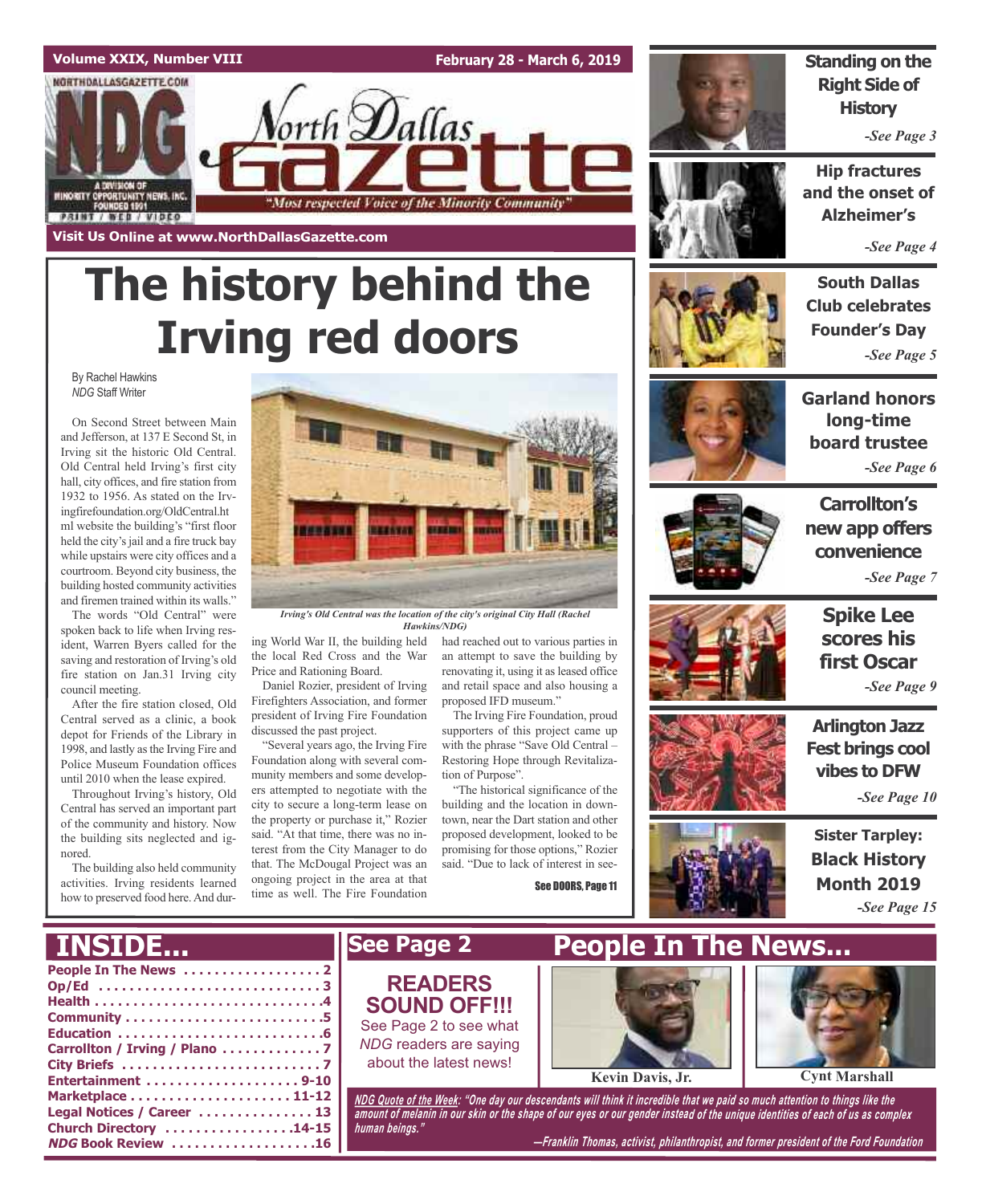

# **The history behind the Irving red doors**

By Rachel Hawkins *NDG* Staff Writer

On Second Street between Main and Jefferson, at 137 E Second St, in Irving sit the historic Old Central. Old Central held Irving's first city hall, city offices, and fire station from 1932 to 1956. As stated on the Irvingfirefoundation.org/OldCentral.ht ml website the building's "first floor held the city's jail and a fire truck bay while upstairs were city offices and a courtroom. Beyond city business, the building hosted community activities and firemen trained within its walls."

The words "Old Central" were spoken back to life when Irving resident, Warren Byers called for the saving and restoration of Irving's old fire station on Jan.31 Irving city council meeting.

After the fire station closed, Old Central served as a clinic, a book depot for Friends of the Library in 1998, and lastly as the Irving Fire and Police Museum Foundation offices until 2010 when the lease expired.

Throughout Irving's history, Old Central has served an important part of the community and history. Now the building sits neglected and ignored.

The building also held community activities. Irving residents learned how to preserved food here. And dur-

**NDG Book Review . . . . . . . . . . . . . . . . . . .16**



*Irving's Old Central was the location of the city's original City Hall (Rachel Hawkins/NDG)*

ing World War II, the building held the local Red Cross and the War Price and Rationing Board.

Daniel Rozier, president of Irving Firefighters Association, and former president of Irving Fire Foundation discussed the past project.

"Several years ago, the Irving Fire Foundation along with several community members and some developers attempted to negotiate with the city to secure a long-term lease on the property or purchase it," Rozier said. "At that time, there was no interest from the City Manager to do that. The McDougal Project was an ongoing project in the area at that time as well. The Fire Foundation

had reached out to various parties in an attempt to save the building by renovating it, using it asleased office and retail space and also housing a proposed IFD museum."

The Irving Fire Foundation, proud supporters of this project came up with the phrase "Save Old Central – Restoring Hope through Revitalization of Purpose".

"The historical significance of the building and the location in downtown, near the Dart station and other proposed development, looked to be promising for those options," Rozier said. "Due to lack of interest in see-

See DOORS, Page 11



**Standing on the Right Side of History**

*-See Page 3*

**Hip fractures and the onset of Alzheimer's**

*-See Page 4*

**South Dallas Club celebrates Founder's Day** *-See Page 5*



**Garland honors long-time board trustee** *-See Page 6*



**Carrollton's new app offers convenience** *-See Page 7*





**Spike Lee scores his first Oscar** *-See Page 9*

**Arlington Jazz Fest brings cool vibes to DFW**

*-See Page 10*

**Sister Tarpley: Black History Month 2019** *-See Page 15*

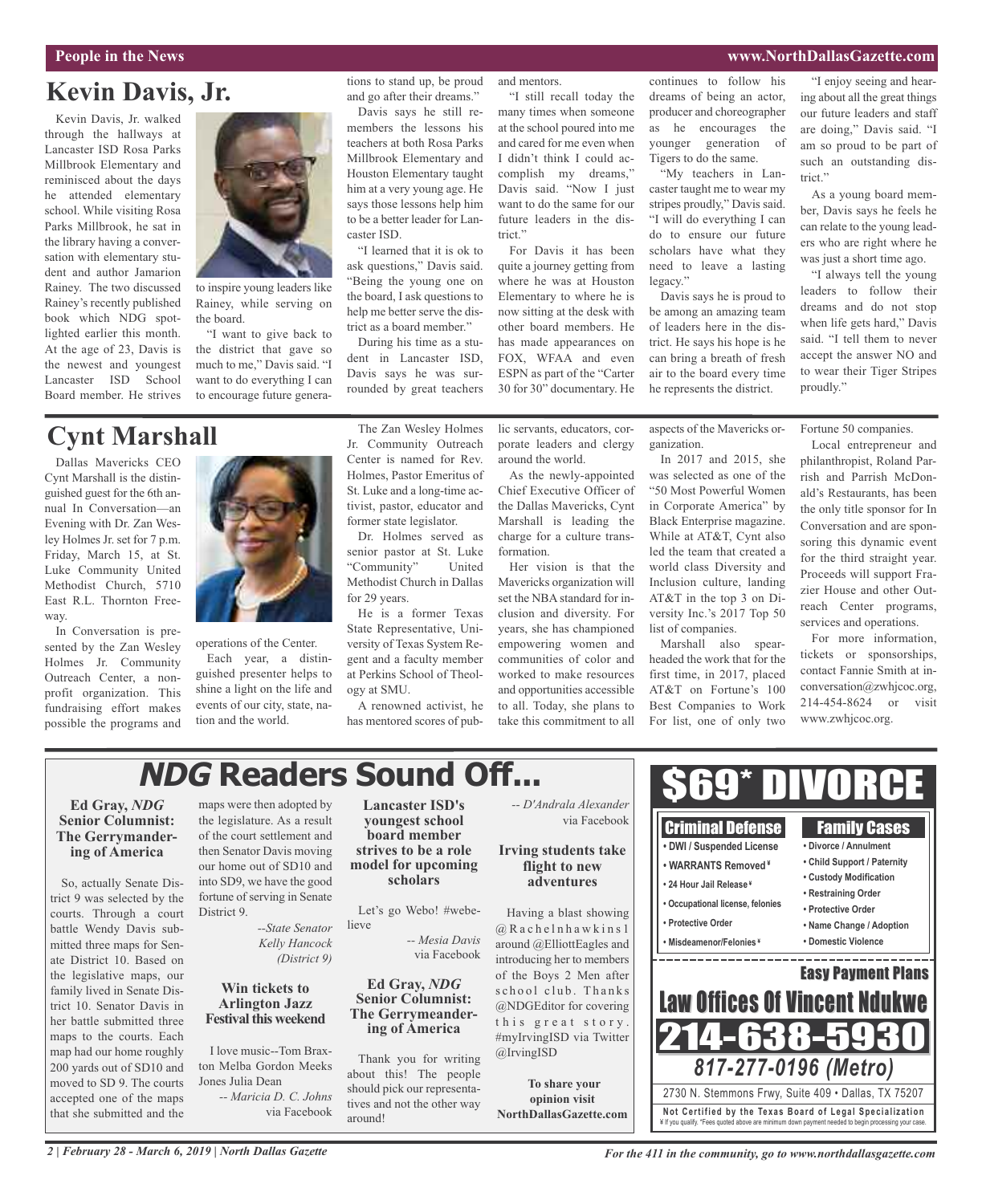### **People in the News www.NorthDallasGazette.com**

# **Kevin Davis, Jr.**

Kevin Davis, Jr. walked through the hallways at Lancaster ISD Rosa Parks Millbrook Elementary and reminisced about the days he attended elementary school. While visiting Rosa Parks Millbrook, he sat in the library having a conversation with elementary student and author Jamarion Rainey. The two discussed Rainey's recently published book which NDG spotlighted earlier this month. At the age of 23, Davis is the newest and youngest Lancaster ISD School Board member. He strives



to inspire young leaders like Rainey, while serving on the board.

"I want to give back to the district that gave so much to me," Davis said. "I want to do everything I can to encourage future genera-

### tions to stand up, be proud and go after their dreams."

Davis says he still remembers the lessons his teachers at both Rosa Parks Millbrook Elementary and Houston Elementary taught him at a very young age. He says those lessons help him to be a better leader for Lancaster ISD.

"I learned that it is ok to ask questions," Davis said. "Being the young one on the board, I ask questions to help me better serve the district as a board member."

During his time as a student in Lancaster ISD, Davis says he was surrounded by great teachers and mentors.

"I still recall today the many times when someone at the school poured into me and cared for me even when I didn't think I could accomplish my dreams," Davis said. "Now I just want to do the same for our future leaders in the district<sup></sup>

For Davis it has been quite a journey getting from where he was at Houston Elementary to where he is now sitting at the desk with other board members. He has made appearances on FOX, WFAA and even ESPN as part of the "Carter 30 for 30" documentary. He continues to follow his dreams of being an actor, producer and choreographer as he encourages the younger generation of Tigers to do the same.

"My teachers in Lancaster taught me to wear my stripes proudly," Davis said. "I will do everything I can do to ensure our future scholars have what they need to leave a lasting legacy."

Davis says he is proud to be among an amazing team of leaders here in the district. He says his hope is he can bring a breath of fresh air to the board every time he represents the district.

"I enjoy seeing and hearing about all the great things our future leaders and staff are doing," Davis said. "I am so proud to be part of such an outstanding district."

As a young board member, Davis says he feels he can relate to the young leaders who are right where he was just a short time ago.

"I always tell the young leaders to follow their dreams and do not stop when life gets hard," Davis said. "I tell them to never accept the answer NO and to wear their Tiger Stripes proudly."

# **Cynt Marshall**

Dallas Mavericks CEO Cynt Marshall is the distinguished guest for the 6th annual In Conversation—an Evening with Dr. Zan Wesley Holmes Jr. set for 7 p.m. Friday, March 15, at St. Luke Community United Methodist Church, 5710 East R.L. Thornton Freeway.

In Conversation is presented by the Zan Wesley Holmes Jr. Community Outreach Center, a nonprofit organization. This fundraising effort makes possible the programs and



operations of the Center. Each year, a distinguished presenter helps to shine a light on the life and events of our city, state, nation and the world.

The Zan Wesley Holmes Jr. Community Outreach Center is named for Rev. Holmes, Pastor Emeritus of St. Luke and a long-time activist, pastor, educator and former state legislator.

Dr. Holmes served as senior pastor at St. Luke "Community" United Methodist Church in Dallas for 29 years.

He is a former Texas State Representative, University of Texas System Regent and a faculty member at Perkins School of Theology at SMU.

A renowned activist, he has mentored scores of public servants, educators, corporate leaders and clergy around the world.

As the newly-appointed Chief Executive Officer of the Dallas Mavericks, Cynt Marshall is leading the charge for a culture transformation.

Her vision is that the Mavericks organization will set the NBA standard for inclusion and diversity. For years, she has championed empowering women and communities of color and worked to make resources and opportunities accessible to all. Today, she plans to take this commitment to all

aspects of the Mavericks organization.

In 2017 and 2015, she was selected as one of the "50 Most Powerful Women in Corporate America" by Black Enterprise magazine. While at AT&T, Cynt also led the team that created a world class Diversity and Inclusion culture, landing AT&T in the top 3 on Diversity Inc.'s 2017 Top 50 list of companies.

Marshall also spearheaded the work that for the first time, in 2017, placed AT&T on Fortune's 100 Best Companies to Work For list, one of only two

Fortune 50 companies.

Local entrepreneur and philanthropist, Roland Parrish and Parrish McDonald's Restaurants, has been the only title sponsor for In Conversation and are sponsoring this dynamic event for the third straight year. Proceeds will support Frazier House and other Outreach Center programs, services and operations.

For more information, tickets or sponsorships, contact Fannie Smith at inconversation@zwhjcoc.org, 214-454-8624 or visit www.zwhjcoc.org.

# **NDG Readers Sound Off...**

### **Ed Gray,** *NDG* **Senior Columnist: The Gerrymandering of America**

So, actually Senate District 9 was selected by the courts. Through a court battle Wendy Davis submitted three maps for Senate District 10. Based on the legislative maps, our family lived in Senate District 10. Senator Davis in her battle submitted three maps to the courts. Each map had our home roughly 200 yards out of SD10 and moved to SD 9. The courts accepted one of the maps that she submitted and the maps were then adopted by the legislature. As a result of the court settlement and then Senator Davis moving our home out of SD10 and into SD9, we have the good fortune of serving in Senate District 9.

> *--State Senator Kelly Hancock (District 9)*

### **Win tickets to Arlington Jazz Festival this weekend**

I love music--Tom Braxton Melba Gordon Meeks Jones Julia Dean *-- Maricia D. C. Johns*

via Facebook

**Lancaster ISD's youngest school board member strives to be a role model for upcoming scholars**

Let's go Webo! #webelieve

via Facebook **Ed Gray,** *NDG* **Senior Columnist:**

*-- Mesia Davis*

**The Gerrymeander- ing of America**

Thank you for writing about this! The people should pick our representatives and not the other way around!

*-- D'Andrala Alexander* via Facebook

# **Irving students take flight to new adventures**

Having a blast showing  $@$  R a c h e l n h a w k i n s 1 around @ElliottEagles and introducing her to members of the Boys 2 Men after school club. Thanks @NDGEditor for covering this great story. #myIrvingISD via Twitter @IrvingISD

**To share your opinion visit NorthDallasGazette.com**



**Not Ce rtified by the Te x a s Boa rd of Lega l Spe c ia l i za tion** ¥ If you qualify. \*Fees quoted above are minimum down payment needed to begin processing your case.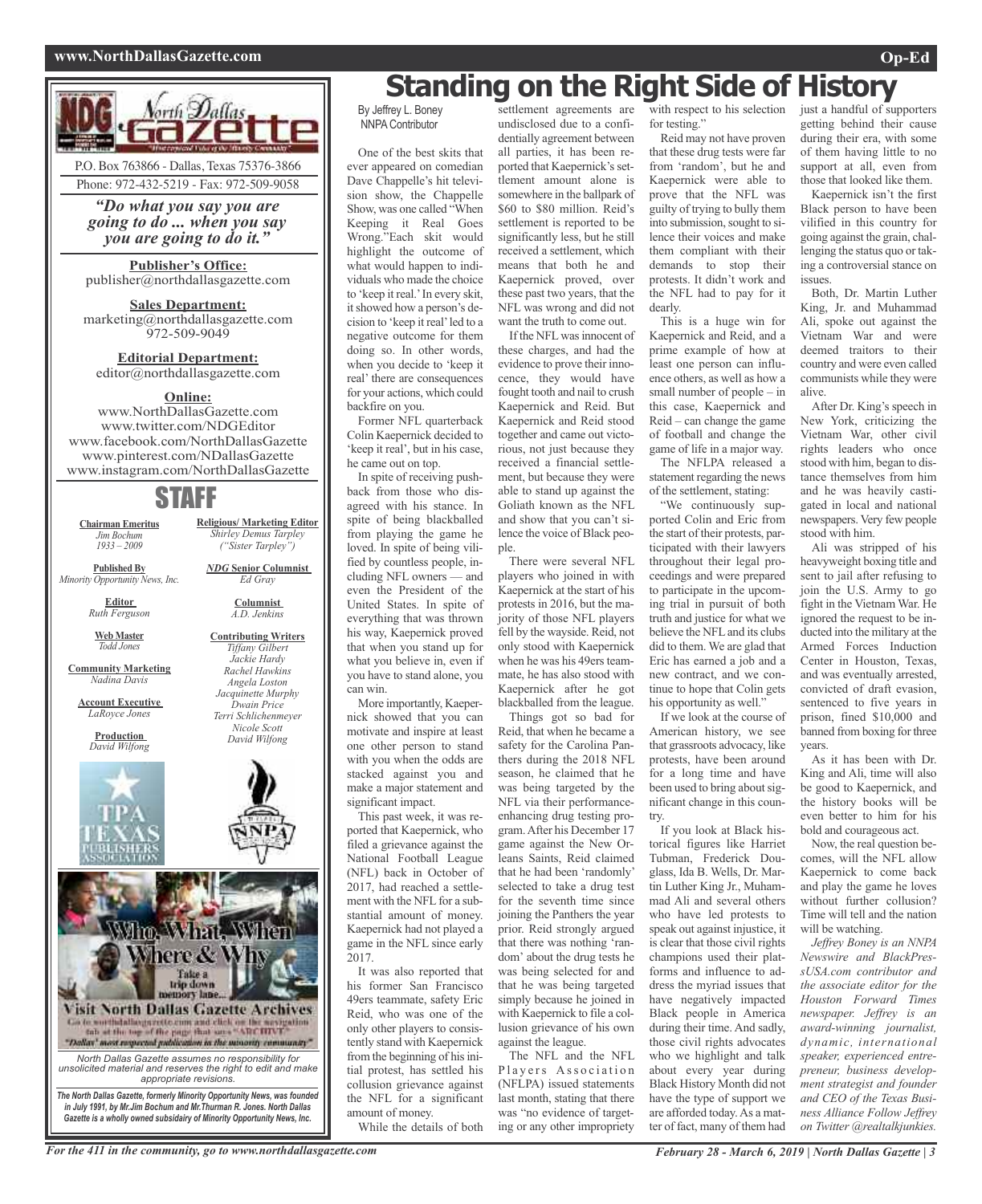### **www.NorthDallasGazette.com Op-Ed**



*"Do what you say you are going to do ... when you say you are going to do it."*

### **Publisher's Office:** publisher@northdallasgazette.com

**Sales Department:** marketing@northdallasgazette.com 972-509-9049

**Editorial Department:** editor@northdallasgazette.com

# **Online:**

www.NorthDallasGazette.com www.twitter.com/NDGEditor www.facebook.com/NorthDallasGazette www.pinterest.com/NDallasGazette www.instagram.com/NorthDallasGazette

# STAFF

**Chairman Emeritus** *Jim Bochum 1933 – 2009*

**Published By**

**Editor** *Ruth Ferguson*

*Minority Opportunity News, Inc.*

**Columnist**

*A.D. Jenkins* **Contributing Writers** *Tiffany Gilbert Jackie Hardy Rachel Hawkins Angela Loston Jacquinette Murphy Dwain Price Terri Schlichenmeyer Nicole Scott David Wilfong*

**Web Master** *Todd Jones*

**Community Marketing** *Nadina Davis*

**Account Executive** *LaRoyce Jones*

> **Production** *David Wilfong*





### For the 411 in the community, go to www.northdallasgazette.com February 28 - March 6, 2019 | North Dallas Gazette | 3

# **Standing on the Right Side of History**

By Jeffrey L. Boney NNPA Contributor

One of the best skits that ever appeared on comedian Dave Chappelle's hit television show, the Chappelle Show, was one called "When Keeping it Real Goes Wrong."Each skit would highlight the outcome of what would happen to individuals who made the choice to 'keep it real.'In every skit, it showed how a person's decision to 'keep it real'led to a negative outcome for them doing so. In other words, when you decide to 'keep it real' there are consequences for your actions, which could backfire on you.

Former NFL quarterback Colin Kaepernick decided to 'keep it real', but in his case, he came out on top.

In spite of receiving pushback from those who disagreed with his stance. In spite of being blackballed from playing the game he loved. In spite of being vilified by countless people, including NFL owners — and even the President of the United States. In spite of everything that was thrown his way, Kaepernick proved that when you stand up for what you believe in, even if you have to stand alone, you can win.

More importantly, Kaepernick showed that you can motivate and inspire at least one other person to stand with you when the odds are stacked against you and make a major statement and significant impact.

This past week, it was reported that Kaepernick, who filed a grievance against the National Football League (NFL) back in October of 2017, had reached a settlement with the NFL for a substantial amount of money. Kaepernick had not played a game in the NFL since early 2017.

It was also reported that his former San Francisco 49ers teammate, safety Eric Reid, who was one of the only other players to consistently stand with Kaepernick from the beginning of his initial protest, has settled his collusion grievance against the NFL for a significant amount of money.

While the details of both

settlement agreements are undisclosed due to a confidentially agreement between all parties, it has been reported that Kaepernick's settlement amount alone is somewhere in the ballpark of \$60 to \$80 million. Reid's settlement is reported to be significantly less, but he still received a settlement, which means that both he and Kaepernick proved, over these past two years, that the NFL was wrong and did not want the truth to come out.

If the NFLwasinnocent of these charges, and had the evidence to prove their innocence, they would have fought tooth and nail to crush Kaepernick and Reid. But Kaepernick and Reid stood together and came out victorious, not just because they received a financial settlement, but because they were able to stand up against the Goliath known as the NFL and show that you can't silence the voice of Black people.

There were several NFL players who joined in with Kaepernick at the start of his protests in 2016, but the majority of those NFL players fell by the wayside. Reid, not only stood with Kaepernick when he was his 49ers teammate, he has also stood with Kaepernick after he got blackballed from the league.

Things got so bad for Reid, that when he became a safety for the Carolina Panthers during the 2018 NFL season, he claimed that he was being targeted by the NFL via their performanceenhancing drug testing program.After his December 17 game against the New Orleans Saints, Reid claimed that he had been 'randomly' selected to take a drug test for the seventh time since joining the Panthers the year prior. Reid strongly argued that there was nothing 'random' about the drug tests he was being selected for and that he was being targeted simply because he joined in with Kaepernick to file a collusion grievance of his own against the league.

The NFL and the NFL Players Association (NFLPA) issued statements last month, stating that there was "no evidence of targeting or any other impropriety

with respect to his selection for testing."

Reid may not have proven that these drug tests were far from 'random', but he and Kaepernick were able to prove that the NFL was guilty of trying to bully them into submission, sought to silence their voices and make them compliant with their demands to stop their protests. It didn't work and the NFL had to pay for it dearly.

This is a huge win for Kaepernick and Reid, and a prime example of how at least one person can influence others, as well as how a small number of people – in this case, Kaepernick and Reid – can change the game of football and change the game of life in a major way.

The NFLPA released a statement regarding the news of the settlement, stating:

"We continuously supported Colin and Eric from the start of their protests, participated with their lawyers throughout their legal proceedings and were prepared to participate in the upcoming trial in pursuit of both truth and justice for what we believe the NFLand its clubs did to them. We are glad that Eric has earned a job and a new contract, and we continue to hope that Colin gets his opportunity as well."

If we look at the course of American history, we see that grassroots advocacy, like protests, have been around for a long time and have been used to bring about significant change in this country.

If you look at Black historical figures like Harriet Tubman, Frederick Douglass, Ida B. Wells, Dr. Martin Luther King Jr., Muhammad Ali and several others who have led protests to speak out against injustice, it is clear that those civil rights champions used their platforms and influence to address the myriad issues that have negatively impacted Black people in America during their time. And sadly, those civil rights advocates who we highlight and talk about every year during Black History Month did not have the type of support we are afforded today.As a matter of fact, many of them had

just a handful of supporters getting behind their cause during their era, with some of them having little to no support at all, even from those that looked like them.

Kaepernick isn't the first Black person to have been vilified in this country for going against the grain, challenging the status quo or taking a controversial stance on issues.

Both, Dr. Martin Luther King, Jr. and Muhammad Ali, spoke out against the Vietnam War and were deemed traitors to their country and were even called communists while they were alive.

After Dr. King's speech in New York, criticizing the Vietnam War, other civil rights leaders who once stood with him, began to distance themselves from him and he was heavily castigated in local and national newspapers. Very few people stood with him.

Ali was stripped of his heavyweight boxing title and sent to jail after refusing to join the U.S. Army to go fight in the Vietnam War. He ignored the request to be inducted into the military at the Armed Forces Induction Center in Houston, Texas, and was eventually arrested, convicted of draft evasion, sentenced to five years in prison, fined \$10,000 and banned from boxing for three years.

As it has been with Dr. King and Ali, time will also be good to Kaepernick, and the history books will be even better to him for his bold and courageous act.

Now, the real question becomes, will the NFL allow Kaepernick to come back and play the game he loves without further collusion? Time will tell and the nation will be watching.

*Jeffrey Boney is an NNPA Newswire and BlackPressUSA.com contributor and the associate editor for the Houston Forward Times newspaper. Jeffrey is an award-winning journalist, dynamic, international speaker, experienced entrepreneur, business development strategist and founder and CEO of the Texas Business Alliance Follow Jeffrey on Twitter @realtalkjunkies.*

*NDG* **Senior Columnist** *Ed Gray*

**Religious/ Marketing Editor** *Shirley Demus Tarpley ("Sister Tarpley")*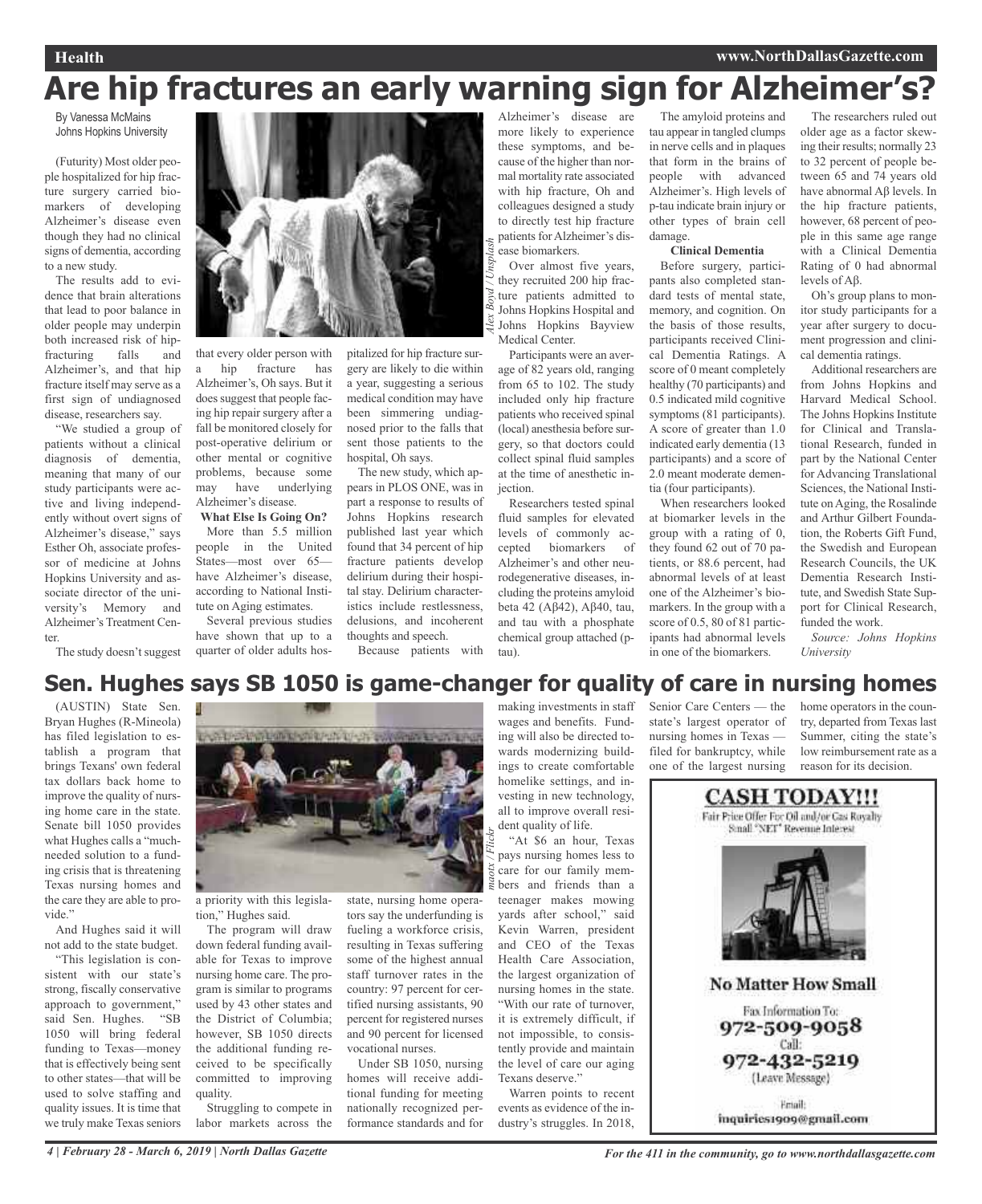### **Health www.NorthDallasGazette.com**

# **Are hip fractures an early warning sign for Alzheimer's?**

*d*

*/ Unsplash*

By Vanessa McMains Johns Hopkins University

(Futurity) Most older people hospitalized for hip fracture surgery carried biomarkers of developing Alzheimer's disease even though they had no clinical signs of dementia, according to a new study.

The results add to evidence that brain alterations that lead to poor balance in older people may underpin both increased risk of hip-<br>fracturing falls and fracturing falls and Alzheimer's, and that hip fracture itself may serve as a first sign of undiagnosed disease, researchers say.

"We studied a group of patients without a clinical diagnosis of dementia, meaning that many of our study participants were active and living independently without overt signs of Alzheimer's disease," says Esther Oh, associate professor of medicine at Johns Hopkins University and associate director of the university's Memory and Alzheimer's Treatment Center.

The study doesn't suggest



that every older person with a hip fracture has Alzheimer's, Oh says. But it does suggest that people facing hip repair surgery after a fall be monitored closely for post-operative delirium or other mental or cognitive problems, because some may have underlying Alzheimer's disease. **What Else Is Going On?**

# More than 5.5 million people in the United

States—most over 65 have Alzheimer's disease, according to National Institute on Aging estimates.

Several previous studies have shown that up to a quarter of older adults hos-

pitalized for hip fracture surgery are likely to die within a year, suggesting a serious medical condition may have been simmering undiagnosed prior to the falls that sent those patients to the hospital, Oh says.

The new study, which appears in PLOS ONE, was in part a response to results of Johns Hopkins research published last year which found that 34 percent of hip fracture patients develop delirium during their hospital stay. Delirium characteristics include restlessness, delusions, and incoherent thoughts and speech.

tors say the underfunding is fueling a workforce crisis, resulting in Texas suffering some of the highest annual staff turnover rates in the country: 97 percent for certified nursing assistants, 90 percent for registered nurses and 90 percent for licensed

vocational nurses.

Under SB 1050, nursing homes will receive additional funding for meeting nationally recognized performance standards and for

Because patients with

Alzheimer's disease are more likely to experience these symptoms, and because of the higher than normal mortality rate associated with hip fracture, Oh and colleagues designed a study to directly test hip fracture patients for Alzheimer's disease biomarkers.

Over almost five years, they recruited 200 hip fracture patients admitted to Johns Hopkins Hospital and Johns Hopkins Bayview Medical Center.

Participants were an average of 82 years old, ranging from 65 to 102. The study included only hip fracture patients who received spinal (local) anesthesia before surgery, so that doctors could collect spinal fluid samples at the time of anesthetic injection.

Researchers tested spinal fluid samples for elevated levels of commonly accepted biomarkers of Alzheimer's and other neurodegenerative diseases, including the proteins amyloid beta 42 (Aβ42), Aβ40, tau, and tau with a phosphate chemical group attached (ptau).

The amyloid proteins and tau appear in tangled clumps in nerve cells and in plaques that form in the brains of people with advanced Alzheimer's. High levels of p-tau indicate brain injury or other types of brain cell damage.

### **Clinical Dementia**

Before surgery, participants also completed standard tests of mental state, memory, and cognition. On the basis of those results, participants received Clinical Dementia Ratings. A score of 0 meant completely healthy (70 participants) and 0.5 indicated mild cognitive symptoms (81 participants). A score of greater than 1.0 indicated early dementia (13 participants) and a score of 2.0 meant moderate dementia (four participants).

When researchers looked at biomarker levels in the group with a rating of 0, they found 62 out of 70 patients, or 88.6 percent, had abnormal levels of at least one of the Alzheimer's biomarkers. In the group with a score of 0.5, 80 of 81 participants had abnormal levels in one of the biomarkers.

The researchers ruled out older age as a factor skewing their results; normally 23 to 32 percent of people between 65 and 74 years old have abnormal Aβ levels. In the hip fracture patients, however, 68 percent of people in this same age range with a Clinical Dementia Rating of 0 had abnormal levels of Aβ.

Oh's group plans to monitor study participants for a year after surgery to document progression and clinical dementia ratings.

Additional researchers are from Johns Hopkins and Harvard Medical School. The Johns Hopkins Institute for Clinical and Translational Research, funded in part by the National Center for Advancing Translational Sciences, the National Institute on Aging, the Rosalinde and Arthur Gilbert Foundation, the Roberts Gift Fund, the Swedish and European Research Councils, the UK Dementia Research Institute, and Swedish State Support for Clinical Research, funded the work.

*Source: Johns Hopkins University*

# *maotx / Flickr Alex Boy* **Sen. Hughes says SB 1050 is game-changer for quality of care in nursing homes**

(AUSTIN) State Sen. Bryan Hughes (R-Mineola) has filed legislation to establish a program that brings Texans' own federal tax dollars back home to improve the quality of nursing home care in the state. Senate bill 1050 provides what Hughes calls a "muchneeded solution to a funding crisis that is threatening Texas nursing homes and the care they are able to provide."

And Hughes said it will not add to the state budget.

"This legislation is consistent with our state's strong, fiscally conservative approach to government," said Sen. Hughes. "SB 1050 will bring federal funding to Texas—money that is effectively being sent to other states—that will be used to solve staffing and quality issues. It is time that we truly make Texas seniors



a priority with this legislation," Hughes said.

The program will draw down federal funding available for Texas to improve nursing home care. The program is similar to programs used by 43 other states and the District of Columbia; however, SB 1050 directs the additional funding received to be specifically committed to improving quality. Struggling to compete in

labor markets across the

making investments in staff wages and benefits. Funding will also be directed towards modernizing buildings to create comfortable homelike settings, and investing in new technology, all to improve overall resident quality of life. "At \$6 an hour, Texas

pays nursing homes less to care for our family members and friends than a teenager makes mowing yards after school," said Kevin Warren, president and CEO of the Texas Health Care Association, the largest organization of nursing homes in the state. "With our rate of turnover, it is extremely difficult, if not impossible, to consistently provide and maintain the level of care our aging Texans deserve."

Warren points to recent events as evidence of the industry's struggles. In 2018,

Senior Care Centers — the state's largest operator of nursing homes in Texas filed for bankruptcy, while one of the largest nursing

home operators in the country, departed from Texas last Summer, citing the state's low reimbursement rate as a reason for its decision.

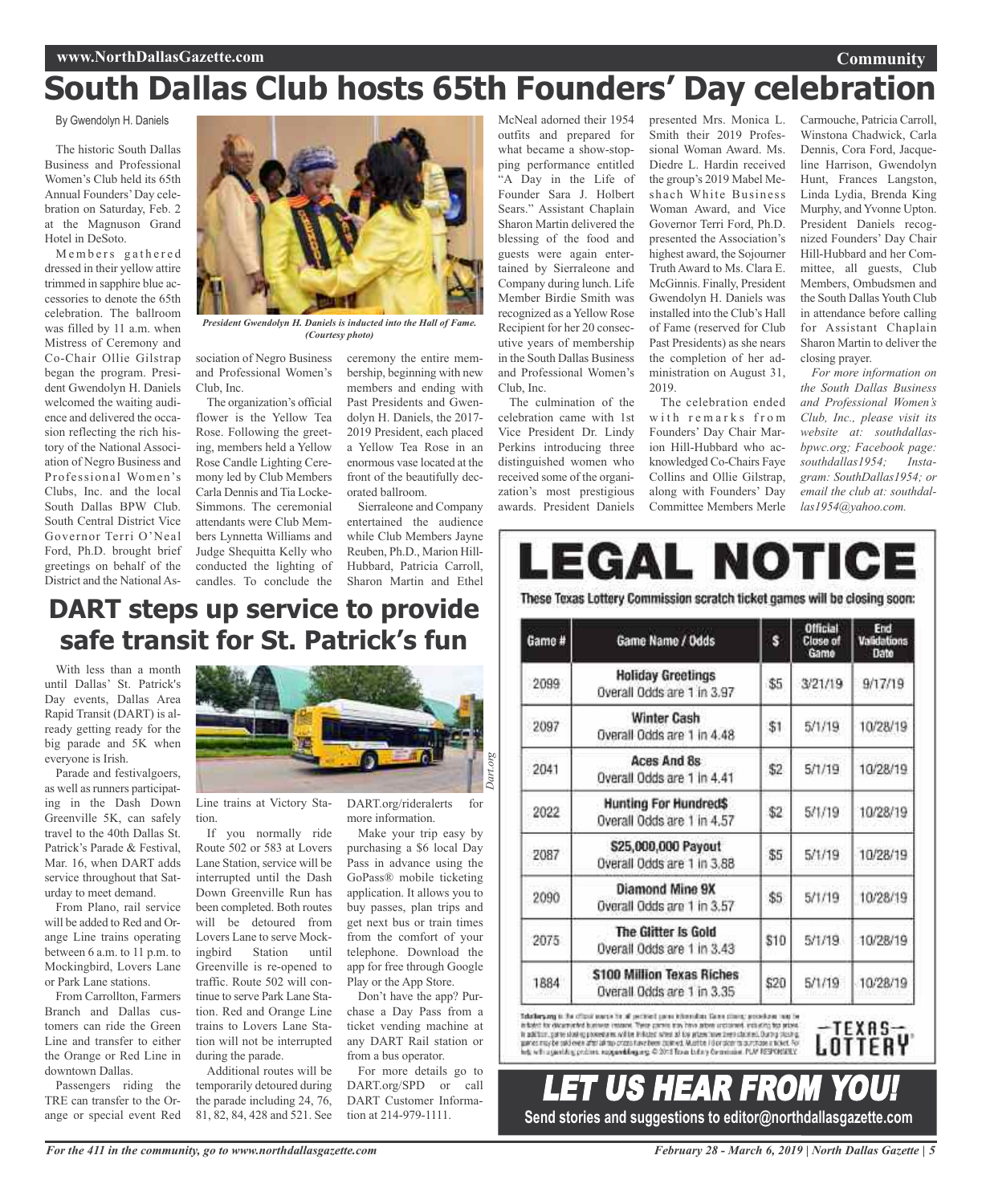### **Community**

# **South Dallas Club hosts 65th Founders' Day celebration**

By Gwendolyn H. Daniels

The historic South Dallas Business and Professional Women's Club held its 65th Annual Founders'Day celebration on Saturday, Feb. 2 at the Magnuson Grand Hotel in DeSoto.

Members gathered dressed in their yellow attire trimmed in sapphire blue accessories to denote the 65th celebration. The ballroom was filled by 11 a.m. when Mistress of Ceremony and Co-Chair Ollie Gilstrap began the program. President Gwendolyn H. Daniels welcomed the waiting audience and delivered the occasion reflecting the rich history of the National Association of Negro Business and Professional Women's Clubs, Inc. and the local South Dallas BPW Club. South Central District Vice Governor Terri O'Neal Ford, Ph.D. brought brief greetings on behalf of the District and the National As-



*President Gwendolyn H. Daniels is inducted into the Hall of Fame. (Courtesy photo)*

sociation of Negro Business and Professional Women's Club, Inc.

The organization's official flower is the Yellow Tea Rose. Following the greeting, members held a Yellow Rose Candle Lighting Ceremony led by Club Members Carla Dennis and Tia Locke-Simmons. The ceremonial attendants were Club Members Lynnetta Williams and Judge Shequitta Kelly who conducted the lighting of ceremony the entire membership, beginning with new members and ending with Past Presidents and Gwendolyn H. Daniels, the 2017- 2019 President, each placed a Yellow Tea Rose in an enormous vase located at the front of the beautifully decorated ballroom.

Sierraleone and Company entertained the audience while Club Members Jayne Reuben, Ph.D., Marion Hill-Hubbard, Patricia Carroll,

candles. To conclude the Sharon Martin and Ethel **DART steps up service to provide safe transit for St. Patrick's fun**

With less than a month until Dallas' St. Patrick's Day events, Dallas Area Rapid Transit (DART) is already getting ready for the big parade and 5K when everyone is Irish.

Parade and festivalgoers, as well as runners participating in the Dash Down Greenville 5K, can safely travel to the 40th Dallas St. Patrick's Parade & Festival, Mar. 16, when DART adds service throughout that Saturday to meet demand.

From Plano, rail service will be added to Red and Orange Line trains operating between 6 a.m. to 11 p.m. to Mockingbird, Lovers Lane or Park Lane stations.

From Carrollton, Farmers Branch and Dallas customers can ride the Green Line and transfer to either the Orange or Red Line in downtown Dallas.

Passengers riding the TRE can transfer to the Orange or special event Red



Line trains at Victory Station.

If you normally ride Route 502 or 583 at Lovers Lane Station, service will be interrupted until the Dash Down Greenville Run has been completed. Both routes will be detoured from Lovers Lane to serve Mockingbird Station until Greenville is re-opened to traffic. Route 502 will continue to serve Park Lane Station. Red and Orange Line trains to Lovers Lane Station will not be interrupted during the parade.

Additional routes will be temporarily detoured during the parade including 24, 76, 81, 82, 84, 428 and 521. See

DART.org/rideralerts for more information.

Make your trip easy by purchasing a \$6 local Day Pass in advance using the GoPass® mobile ticketing application. It allows you to buy passes, plan trips and get next bus or train times from the comfort of your telephone. Download the app for free through Google Play or the App Store.

Don't have the app? Purchase a Day Pass from a ticket vending machine at any DART Rail station or from a bus operator.

For more details go to DART.org/SPD or call DART Customer Information at 214-979-1111.

McNeal adorned their 1954 outfits and prepared for what became a show-stopping performance entitled "A Day in the Life of Founder Sara J. Holbert Sears." Assistant Chaplain Sharon Martin delivered the blessing of the food and guests were again entertained by Sierraleone and Company during lunch. Life Member Birdie Smith was recognized as a Yellow Rose Recipient for her 20 consecutive years of membership in the South Dallas Business and Professional Women's Club, Inc.

The culmination of the celebration came with 1st Vice President Dr. Lindy Perkins introducing three distinguished women who received some of the organization's most prestigious awards. President Daniels

presented Mrs. Monica L. Smith their 2019 Professional Woman Award. Ms. Diedre L. Hardin received the group's 2019 Mabel Meshach White Business Woman Award, and Vice Governor Terri Ford, Ph.D. presented the Association's highest award, the Sojourner Truth Award to Ms. Clara E. McGinnis. Finally, President Gwendolyn H. Daniels was installed into the Club's Hall of Fame (reserved for Club Past Presidents) as she nears the completion of her administration on August 31, 2019.

The celebration ended with remarks from Founders' Day Chair Marion Hill-Hubbard who acknowledged Co-Chairs Faye Collins and Ollie Gilstrap, along with Founders' Day Committee Members Merle

Carmouche, Patricia Carroll, Winstona Chadwick, Carla Dennis, Cora Ford, Jacqueline Harrison, Gwendolyn Hunt, Frances Langston, Linda Lydia, Brenda King Murphy, and Yvonne Upton. President Daniels recognized Founders' Day Chair Hill-Hubbard and her Committee, all guests, Club Members, Ombudsmen and the South Dallas Youth Club in attendance before calling for Assistant Chaplain Sharon Martin to deliver the closing prayer.

*For more information on the South Dallas Business and Professional Women's Club, Inc., please visit its website at: southdallasbpwc.org; Facebook page: southdallas1954; Instagram: SouthDallas1954; or email the club at: southdallas1954@yahoo.com.*

# **LEGAL NOTICE**

These Texas Lottery Commission scratch ticket games will be closing soon:

| Game # | Game Name / Odds                                           | s    | <b>Official</b><br>Close of<br>Game | End<br>Validations<br>Date |
|--------|------------------------------------------------------------|------|-------------------------------------|----------------------------|
| 2099   | <b>Holiday Greetings</b><br>Overall Odds are 1 in 3.97     | \$5  | 3/21/19                             | 9/17/19                    |
| 2097   | <b>Winter Cash</b><br>Overall Odds are 1 in 4.48           | \$1  | 5/1/19                              | 10/28/19                   |
| 2041   | Aces And 8s<br>Overall Odds are 1 in 4.41                  | \$2  | 5/1/19                              | 10/28/19                   |
| 2022   | <b>Hunting For Hundred\$</b><br>Overall Odds are 1 in 4.57 | \$2  | 5/1/19                              | 10/28/19                   |
| 2087   | \$25,000,000 Payout<br>Overall Odds are 1 in 3.88          | \$5  | 5/1/19                              | 10/28/19                   |
| 2090   | Diamond Mine 9X<br>Overall Odds are 1 in 3.57              | \$5  | 5/1/19                              | 10/28/19                   |
| 2075   | The Glitter Is Gold<br>Overall Odds are 1 in 3.43          | \$10 | 5/1/19                              | 10/28/19                   |
| 1884   | \$100 Million Texas Riches<br>Overall Odds are 1 in 3.35   | \$20 | 5/1/19                              | 10/28/19                   |

Teleforgang in the official exerce for all periodel parts information. Came climing procedures rate for<br>In taked for decarrieshed business researce. These games tray have around and around motivating that prizes In addition, partie slowing powertures will be indicted when ad low artest have been stakined. During stashing paries may be said over after an top prizes have been colleved. Must be informate to purchase a ticket. For<br>Indicio to a good hist, problems, rapport blogsang, 41 2011 fire as to help the motions. PLAY RESPONSIBLY

LET US HEAR FROM YOU! **Send stories and suggestions to editor@northdallasgazette.com**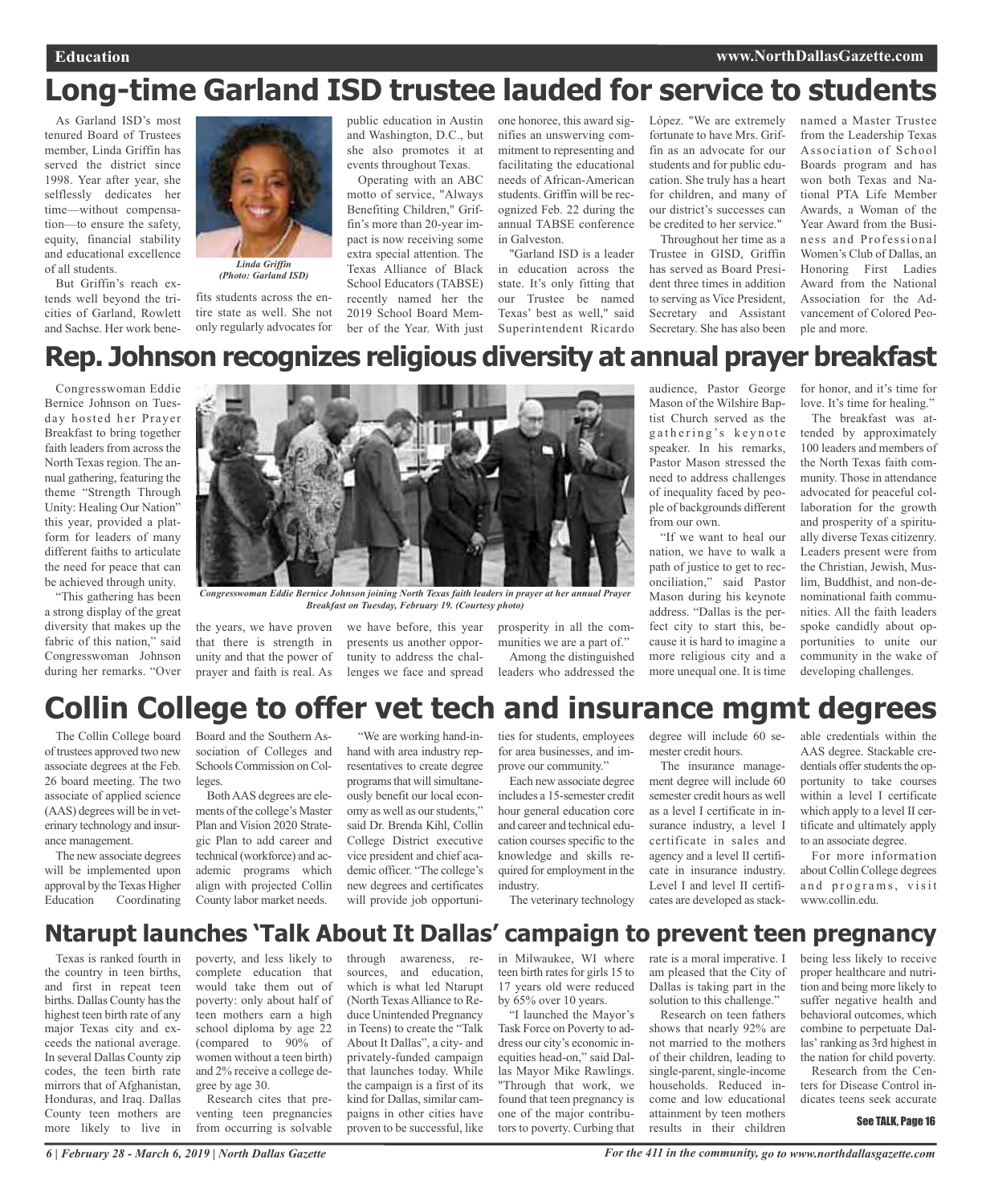# **Long-time Garland ISD trustee lauded for service to students**

As Garland ISD's most tenured Board of Trustees member, Linda Griffin has served the district since 1998. Year after year, she selflessly dedicates her time—without compensation—to ensure the safety, equity, financial stability and educational excellence of all students.

But Griffin's reach extends well beyond the tricities of Garland, Rowlett and Sachse. Her work bene-



### *Linda Griffin (Photo: Garland ISD)*

fits students across the entire state as well. She not only regularly advocates for public education in Austin and Washington, D.C., but she also promotes it at events throughout Texas.

Operating with an ABC motto of service, "Always Benefiting Children," Griffin's more than 20-year impact is now receiving some extra special attention. The Texas Alliance of Black School Educators (TABSE) recently named her the 2019 School Board Member of the Year. With just one honoree, this award signifies an unswerving commitment to representing and facilitating the educational needs of African-American students. Griffin will be recognized Feb. 22 during the annual TABSE conference in Galveston.

"Garland ISD is a leader in education across the state. It's only fitting that our Trustee be named Texas' best as well," said Superintendent Ricardo

López. "We are extremely fortunate to have Mrs. Griffin as an advocate for our students and for public education. She truly has a heart for children, and many of our district's successes can be credited to her service." Throughout her time as a

Trustee in GISD, Griffin has served as Board President three times in addition to serving as Vice President, Secretary and Assistant Secretary. She has also been

named a Master Trustee from the Leadership Texas Association of School Boards program and has won both Texas and National PTA Life Member Awards, a Woman of the Year Award from the Business and Professional Women's Club of Dallas, an Honoring First Ladies Award from the National Association for the Advancement of Colored People and more.

# **Rep. Johnson recognizes religious diversity at annual prayer breakfast**

Congresswoman Eddie Bernice Johnson on Tuesday hosted her Prayer Breakfast to bring together faith leaders from across the North Texas region. The annual gathering, featuring the theme "Strength Through Unity: Healing Our Nation" this year, provided a platform for leaders of many different faiths to articulate the need for peace that can be achieved through unity.

"This gathering has been a strong display of the great diversity that makes up the fabric of this nation," said Congresswoman Johnson during her remarks. "Over



*Congresswoman Eddie Bernice Johnson joining North Texas faith leaders in prayer at her annual Prayer Breakfast on Tuesday, February 19. (Courtesy photo)*

the years, we have proven that there is strength in unity and that the power of prayer and faith is real. As

we have before, this year presents us another opportunity to address the challenges we face and spread

prosperity in all the communities we are a part of." Among the distinguished leaders who addressed the audience, Pastor George Mason of the Wilshire Baptist Church served as the gathering's keynote speaker. In his remarks, Pastor Mason stressed the need to address challenges of inequality faced by people of backgrounds different from our own.

"If we want to heal our nation, we have to walk a path of justice to get to reconciliation," said Pastor Mason during his keynote address. "Dallas is the perfect city to start this, because it is hard to imagine a more religious city and a more unequal one. It is time

for honor, and it's time for love. It's time for healing."

The breakfast was attended by approximately 100 leaders and members of the North Texas faith community. Those in attendance advocated for peaceful collaboration for the growth and prosperity of a spiritually diverse Texas citizenry. Leaders present were from the Christian, Jewish, Muslim, Buddhist, and non-denominational faith communities. All the faith leaders spoke candidly about opportunities to unite our community in the wake of developing challenges.

# **Collin College to offer vet tech and insurance mgmt degrees**

The Collin College board of trustees approved two new associate degrees at the Feb. 26 board meeting. The two associate of applied science (AAS) degrees will be in veterinary technology and insurance management.

The new associate degrees will be implemented upon approval by the Texas Higher<br>Education Coordinating Coordinating

Board and the Southern Association of Colleges and Schools Commission on Colleges.

BothAAS degrees are elements of the college's Master Plan and Vision 2020 Strategic Plan to add career and technical (workforce) and academic programs which align with projected Collin County labor market needs.

"We are working hand-inhand with area industry representatives to create degree programs that will simultaneously benefit our local economy as well as our students," said Dr. Brenda Kihl, Collin College District executive vice president and chief academic officer. "The college's new degrees and certificates will provide job opportunities for students, employees for area businesses, and improve our community."

Each new associate degree includes a 15-semester credit hour general education core and career and technical education courses specific to the knowledge and skills required for employment in the industry.

The veterinary technology

degree will include 60 semester credit hours.

The insurance management degree will include 60 semester credit hours as well as a level I certificate in insurance industry, a level I certificate in sales and agency and a level II certificate in insurance industry. Level I and level II certificates are developed as stackable credentials within the AAS degree. Stackable credentials offer students the opportunity to take courses within a level I certificate which apply to a level II certificate and ultimately apply to an associate degree.

For more information about Collin College degrees and programs, visit www.collin.edu.

# **Ntarupt launches 'Talk About It Dallas' campaign to prevent teen pregnancy**

Texas is ranked fourth in the country in teen births, and first in repeat teen births. Dallas County has the highest teen birth rate of any major Texas city and exceeds the national average. In several Dallas County zip codes, the teen birth rate mirrors that of Afghanistan, Honduras, and Iraq. Dallas County teen mothers are more likely to live in poverty, and less likely to complete education that would take them out of poverty: only about half of teen mothers earn a high school diploma by age 22 (compared to 90% of women without a teen birth) and 2% receive a college degree by age 30. Research cites that pre-

venting teen pregnancies from occurring is solvable through awareness, resources, and education, which is what led Ntarupt (North Texas Alliance to Reduce Unintended Pregnancy in Teens) to create the "Talk About It Dallas", a city- and privately-funded campaign that launches today. While the campaign is a first of its kind for Dallas, similar campaigns in other cities have proven to be successful, like

in Milwaukee, WI where teen birth rates for girls 15 to 17 years old were reduced by 65% over 10 years.

"I launched the Mayor's Task Force on Poverty to address our city's economic inequities head-on," said Dallas Mayor Mike Rawlings. "Through that work, we found that teen pregnancy is one of the major contributors to poverty. Curbing that

rate is a moral imperative. I am pleased that the City of Dallas is taking part in the solution to this challenge." Research on teen fathers shows that nearly 92% are

not married to the mothers of their children, leading to single-parent, single-income households. Reduced income and low educational attainment by teen mothers results in their children being less likely to receive proper healthcare and nutrition and being more likely to suffer negative health and behavioral outcomes, which combine to perpetuate Dallas' ranking as 3rd highest in the nation for child poverty.

Research from the Centers for Disease Control indicates teens seek accurate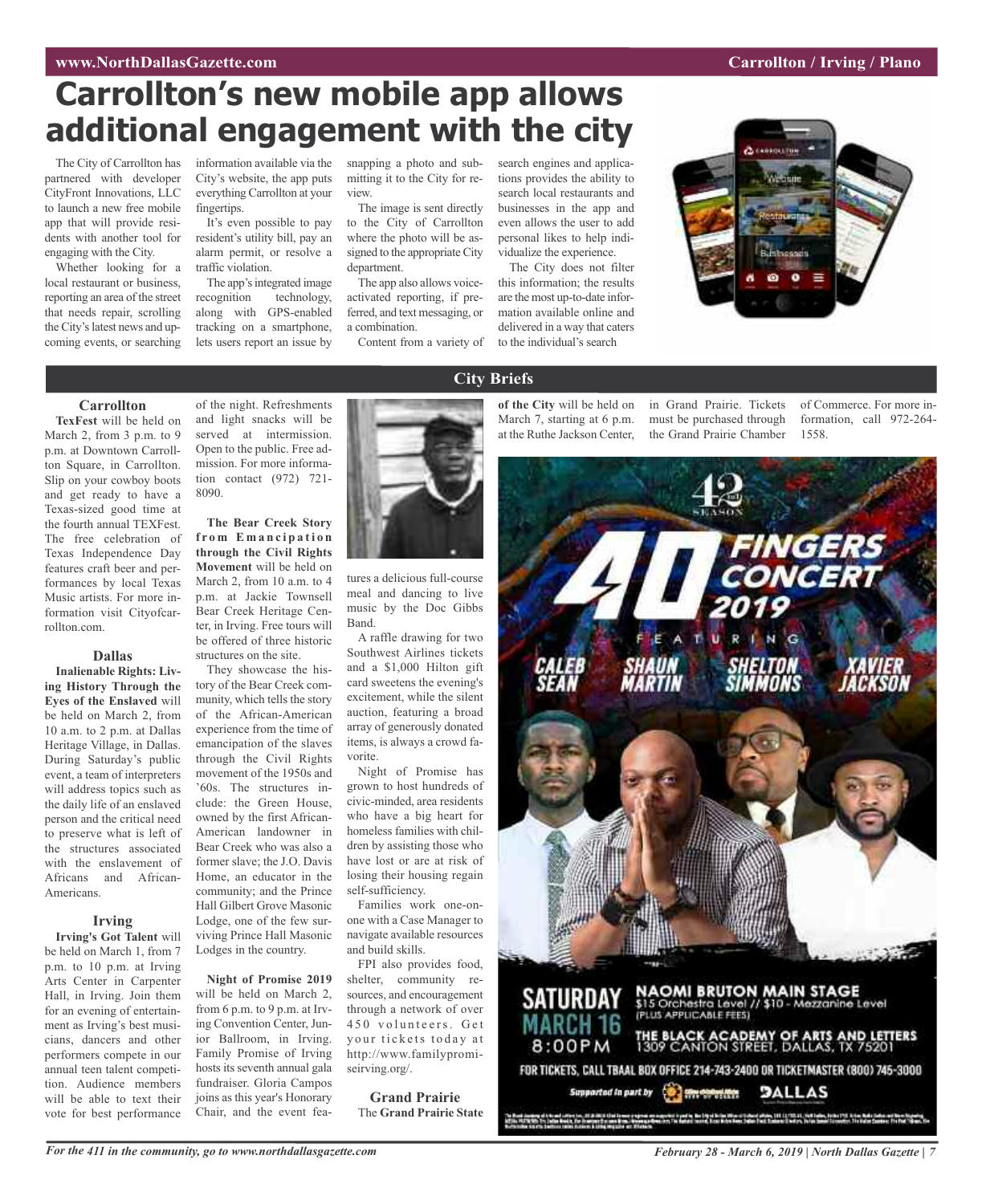# **WAW.** NorthDallasGazette.com **Carrollton** *Carrollton Carrollton Carrollton Carrollton Carrollton Carrollton Carrollton Carrollton Carrollton Carrollton Carrollton Carrollton*

# **Carrollton's new mobile app allows additional engagement with the city**

The City of Carrollton has partnered with developer CityFront Innovations, LLC to launch a new free mobile app that will provide residents with another tool for engaging with the City.

Whether looking for a local restaurant or business, reporting an area of the street that needs repair, scrolling the City's latest news and upcoming events, or searching information available via the City's website, the app puts everything Carrollton at your fingertips.

It's even possible to pay resident's utility bill, pay an alarm permit, or resolve a traffic violation.

The app's integrated image recognition technology, along with GPS-enabled tracking on a smartphone, lets users report an issue by

snapping a photo and submitting it to the City for review.

The image is sent directly to the City of Carrollton where the photo will be assigned to the appropriate City department.

The app also allows voiceactivated reporting, if preferred, and text messaging, or a combination.

Content from a variety of

search engines and applications provides the ability to search local restaurants and businesses in the app and even allows the user to add personal likes to help individualize the experience.

The City does not filter this information; the results are the most up-to-date information available online and delivered in a way that caters to the individual's search



### **Carrollton**

**TexFest** will be held on March 2, from 3 p.m. to 9 p.m. at Downtown Carrollton Square, in Carrollton. Slip on your cowboy boots and get ready to have a Texas-sized good time at the fourth annual TEXFest. The free celebration of Texas Independence Day features craft beer and performances by local Texas Music artists. For more information visit Cityofcarrollton.com.

# **Dallas**

**Inalienable Rights: Living History Through the Eyes of the Enslaved** will be held on March 2, from 10 a.m. to 2 p.m. at Dallas Heritage Village, in Dallas. During Saturday's public event, a team of interpreters will address topics such as the daily life of an enslaved person and the critical need to preserve what is left of the structures associated with the enslavement of Africans and African-Americans.

### **Irving**

**Irving's Got Talent** will be held on March 1, from 7 p.m. to 10 p.m. at Irving Arts Center in Carpenter Hall, in Irving. Join them for an evening of entertainment as Irving's best musicians, dancers and other performers compete in our annual teen talent competition. Audience members will be able to text their vote for best performance

of the night. Refreshments and light snacks will be served at intermission. Open to the public. Free admission. For more information contact (972) 721- 8090.

**The Bear Creek Story f r o m E m a n c i p a ti o n through the Civil Rights Movement** will be held on March 2, from 10 a.m. to 4 p.m. at Jackie Townsell Bear Creek Heritage Center, in Irving. Free tours will be offered of three historic structures on the site.

They showcase the history of the Bear Creek community, which tells the story of the African-American experience from the time of emancipation of the slaves through the Civil Rights movement of the 1950s and '60s. The structures include: the Green House, owned by the first African-American landowner in Bear Creek who was also a former slave; the J.O. Davis Home, an educator in the community; and the Prince Hall Gilbert Grove Masonic Lodge, one of the few surviving Prince Hall Masonic Lodges in the country.

**Night of Promise 2019** will be held on March 2, from 6 p.m. to 9 p.m. at Irving Convention Center, Junior Ballroom, in Irving. Family Promise of Irving hosts its seventh annual gala fundraiser. Gloria Campos joins as this year's Honorary Chair, and the event fea-



tures a delicious full-course meal and dancing to live music by the Doc Gibbs Band.

A raffle drawing for two Southwest Airlines tickets and a \$1,000 Hilton gift card sweetens the evening's excitement, while the silent auction, featuring a broad array of generously donated items, is always a crowd favorite.

Night of Promise has grown to host hundreds of civic-minded, area residents who have a big heart for homeless families with children by assisting those who have lost or are at risk of losing their housing regain self-sufficiency.

Families work one-onone with a Case Manager to navigate available resources and build skills.

FPI also provides food, shelter, community resources, and encouragement through a network of over 450 volunteers. Get your tickets today at http://www.familypromiseirving.org/.

**Grand Prairie** The **Grand Prairie State**

# **City Briefs**

**of the City** will be held on in Grand Prairie. Tickets of Commerce. For more in-March 7, starting at 6 p.m. must be purchased through at the Ruthe Jackson Center, the Grand Prairie Chamber

formation, call 972-264- 1558.

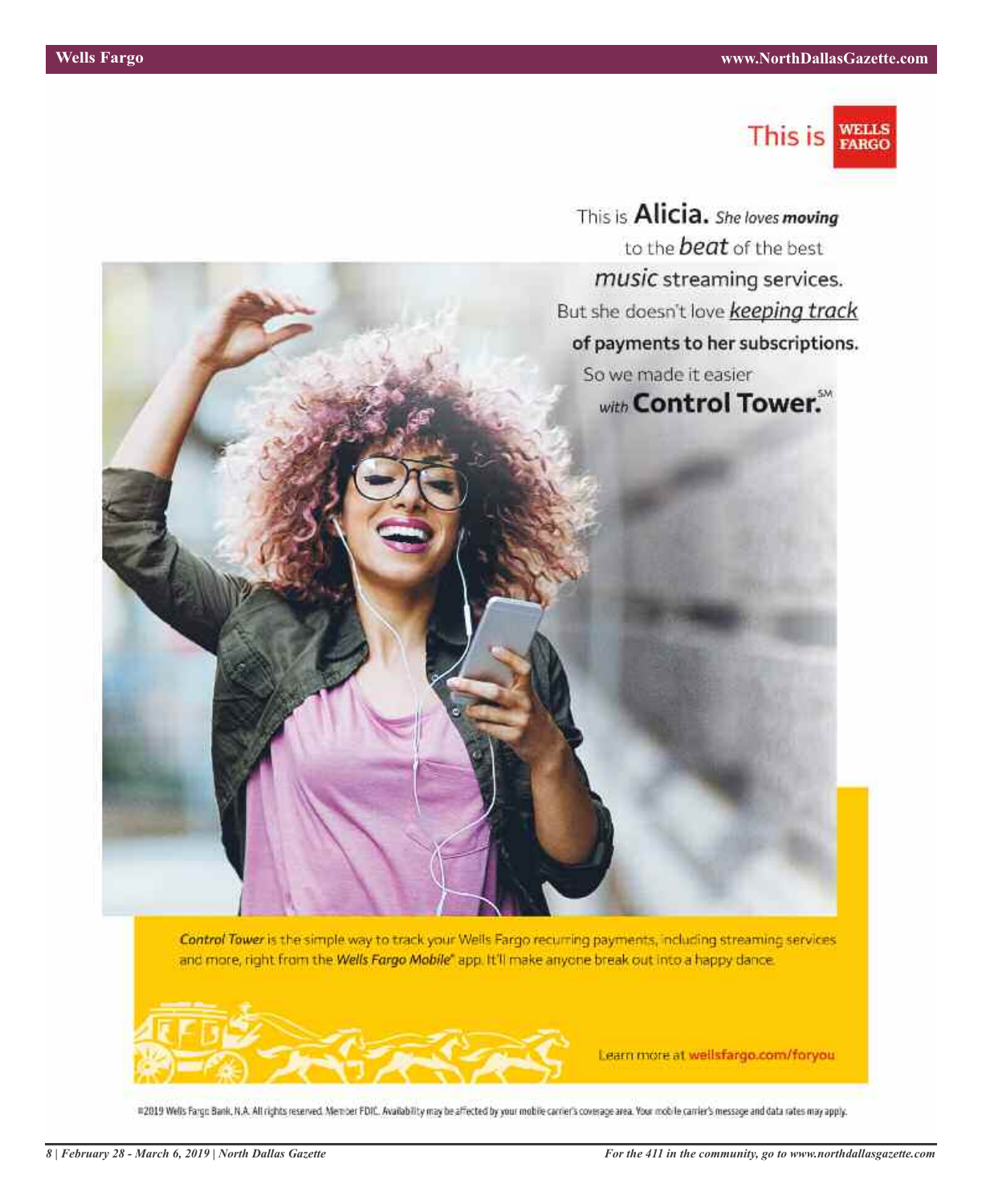

This is **Alicia.** She loves moving to the **beat** of the best music streaming services. But she doesn't love keeping track of payments to her subscriptions. So we made it easier with Control Tower.

Control Tower is the simple way to track your Wells Fargo recurring payments, including streaming services and more, right from the Wells Fargo Mobile" app. It'll make anyone break out into a happy dance.



Learn more at wellsfargo.com/foryou

#2019 Wells Fargo Bank, N.A. All rights reserved. Member FDIC. Availability may be affected by your mobile carrier's coverage area. Your mobile carrier's message and data rates may apply.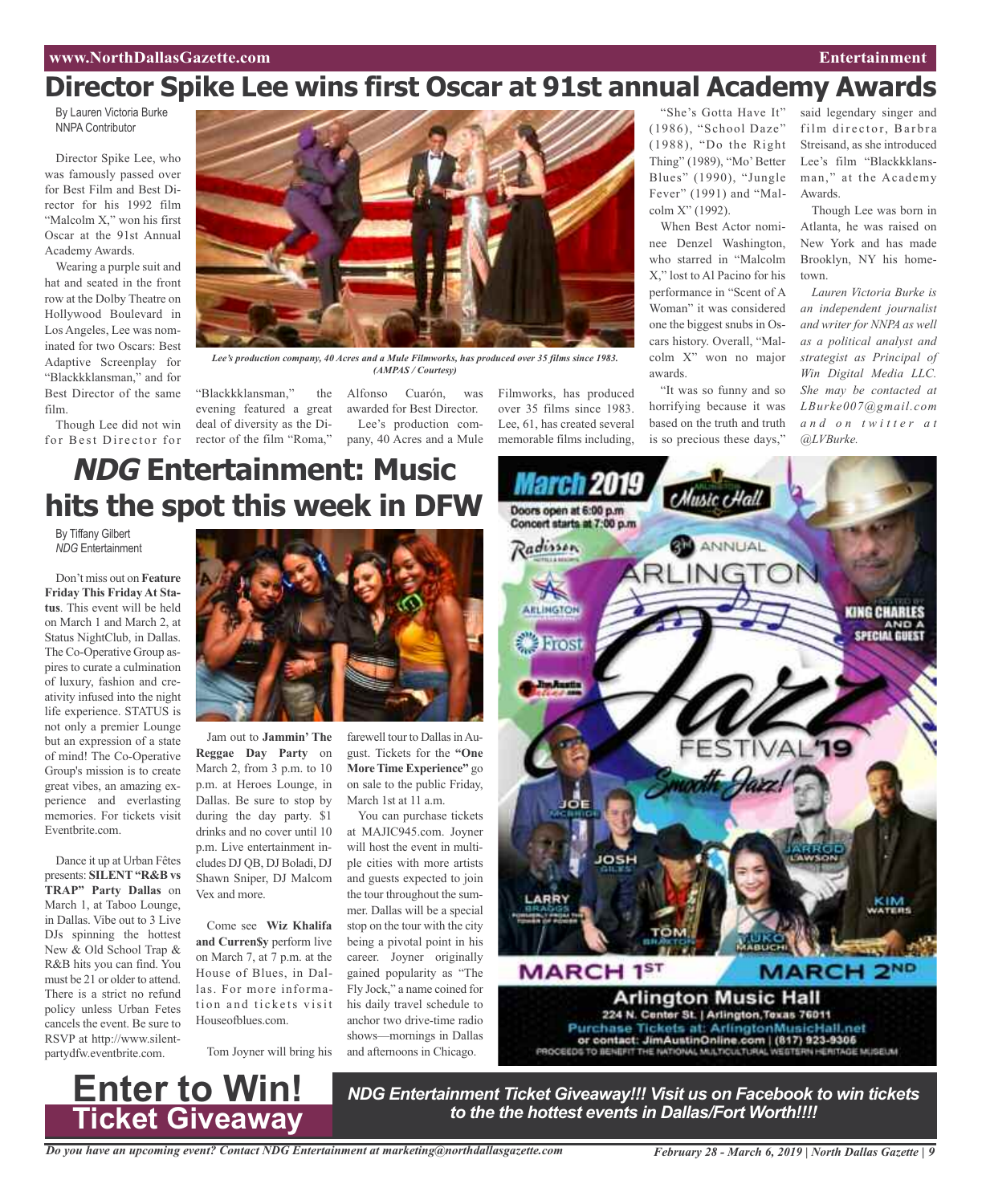# **Director Spike Lee wins first Oscar at 91st annual Academy Awards**

By Lauren Victoria Burke NNPA Contributor

Director Spike Lee, who was famously passed over for Best Film and Best Director for his 1992 film "Malcolm X," won his first Oscar at the 91st Annual Academy Awards.

Wearing a purple suit and hat and seated in the front row at the Dolby Theatre on Hollywood Boulevard in Los Angeles, Lee was nominated for two Oscars: Best Adaptive Screenplay for "Blackkklansman," and for Best Director of the same film.

Though Lee did not win for Best Director for



*Lee's production company, 40 Acres and a Mule Filmworks, has produced over 35 films since 1983. (AMPAS / Courtesy)*

"Blackkklansman," the evening featured a great deal of diversity as the Director of the film "Roma,"

Alfonso Cuarón, was awarded for Best Director. Lee's production company, 40 Acres and a Mule Filmworks, has produced over 35 films since 1983. Lee, 61, has created several memorable films including,

"She's Gotta Have It" (1986), "School Daze" (1988), "Do the Right Thing" (1989), "Mo' Better Blues" (1990), "Jungle Fever" (1991) and "Malcolm X" (1992).

When Best Actor nominee Denzel Washington, who starred in "Malcolm X," lost to Al Pacino for his performance in "Scent of A Woman" it was considered one the biggest snubs in Oscars history. Overall, "Malcolm X" won no major awards.

"It was so funny and so horrifying because it was based on the truth and truth is so precious these days,"

said legendary singer and film director, Barbra Streisand, as she introduced Lee's film "Blackkklansman," at the Academy Awards.

Though Lee was born in Atlanta, he was raised on New York and has made Brooklyn, NY his hometown.

*Lauren Victoria Burke is an independent journalist and writer for NNPA as well as a political analyst and strategist as Principal of Win Digital Media LLC. She may be contacted at LBurke007@gmail.com a n d o n t w i t t e r a t @LVBurke.*

# **NDG Entertainment: Music hits the spot this week in DFW**

By Tiffany Gilbert *NDG* Entertainment

Don't miss out on **Feature Friday This Friday At Status**. This event will be held on March 1 and March 2, at Status NightClub, in Dallas. The Co-Operative Group aspires to curate a culmination of luxury, fashion and creativity infused into the night life experience. STATUS is not only a premier Lounge but an expression of a state of mind! The Co-Operative Group's mission is to create great vibes, an amazing experience and everlasting memories. For tickets visit Eventbrite.com.

Dance it up at Urban Fêtes presents: **SILENT"R&B vs TRAP" Party Dallas** on March 1, at Taboo Lounge, in Dallas. Vibe out to 3 Live DJs spinning the hottest New & Old School Trap & R&B hits you can find. You must be 21 or older to attend. There is a strict no refund policy unless Urban Fetes cancels the event. Be sure to RSVP at http://www.silentpartydfw.eventbrite.com.



Jam out to **Jammin' The Reggae Day Party** on March 2, from 3 p.m. to 10 p.m. at Heroes Lounge, in Dallas. Be sure to stop by during the day party. \$1 drinks and no cover until 10 p.m. Live entertainment includes DJ QB, DJ Boladi, DJ Shawn Sniper, DJ Malcom Vex and more.

Come see **Wiz Khalifa and Curren\$y** perform live on March 7, at 7 p.m. at the House of Blues, in Dallas. For more information and tickets visit Houseofblues.com.

Tom Joyner will bring his

**Enter to Win!**

**Ticket Giveaway**

farewell tour to Dallas in August. Tickets for the **"One MoreTime Experience"** go on sale to the public Friday, March 1st at 11 a.m.

You can purchase tickets at MAJIC945.com. Joyner will host the event in multiple cities with more artists and guests expected to join the tour throughout the summer. Dallas will be a special stop on the tour with the city being a pivotal point in his career. Joyner originally gained popularity as "The Fly Jock," a name coined for his daily travel schedule to anchor two drive-time radio shows—mornings in Dallas and afternoons in Chicago.



*NDG Entertainment Ticket Giveaway!!! Visit us on Facebook to win tickets to the the hottest events in Dallas/Fort Worth!!!!*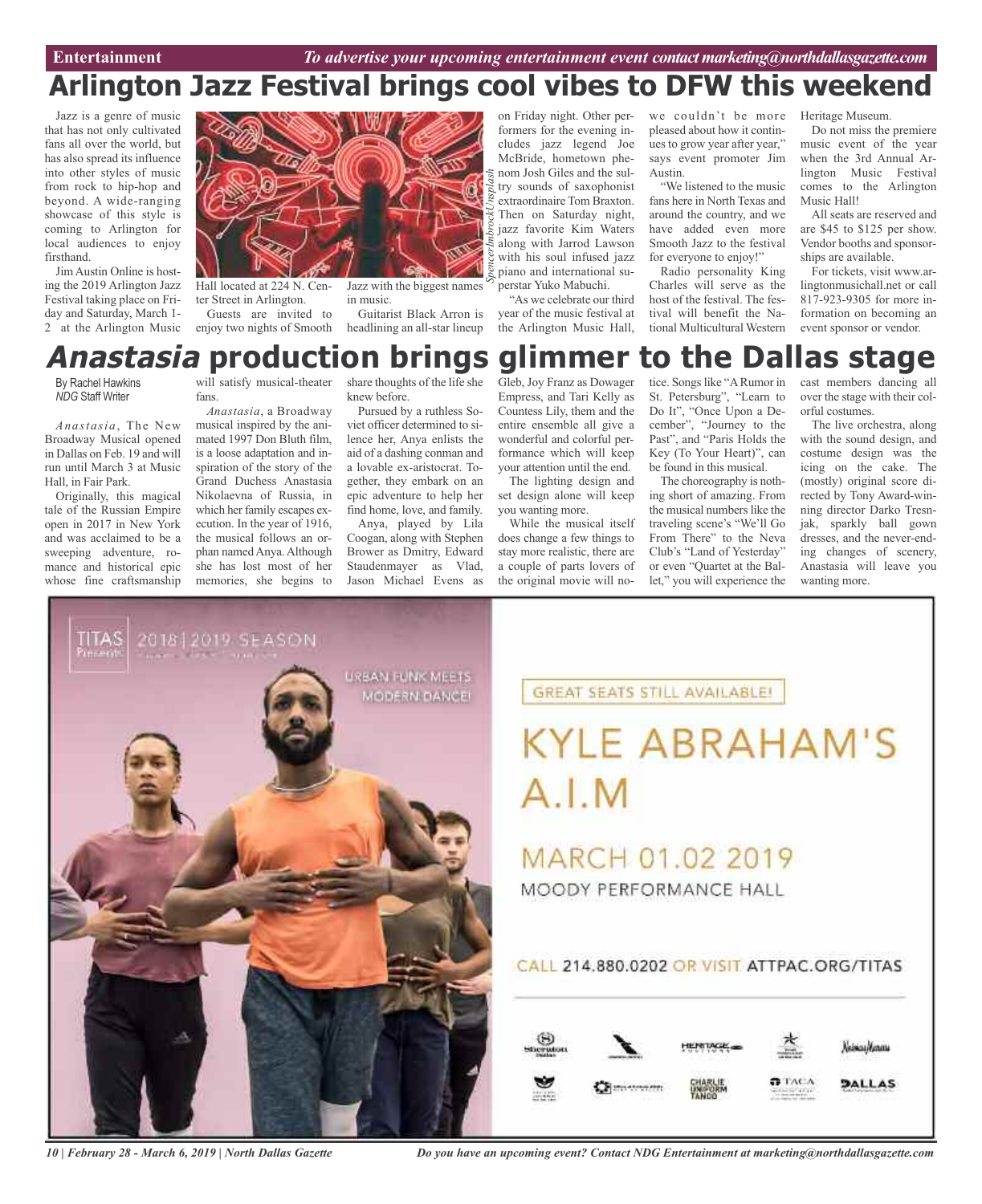# **Arlington Jazz Festival brings cool vibes to DFW this weekend**

Jazz is a genre of music that has not only cultivated fans all over the world, but has also spread its influence into other styles of music from rock to hip-hop and beyond. A wide-ranging showcase of this style is coming to Arlington for local audiences to enjoy firsthand.

JimAustin Online is hosting the 2019 Arlington Jazz Festival taking place on Friday and Saturday, March 1- 2 at the Arlington Music



Hall located at 224 N. Center Street in Arlington. Guests are invited to

enjoy two nights of Smooth

Jazz with the biggest names in music.

Guitarist Black Arron is headlining an all-star lineup

*SpencerImbrockUnsplash* on Friday night. Other performers for the evening includes jazz legend Joe McBride, hometown phenom Josh Giles and the sultry sounds of saxophonist extraordinaire Tom Braxton. Then on Saturday night, jazz favorite Kim Waters along with Jarrod Lawson with his soul infused jazz piano and international superstar Yuko Mabuchi.

"As we celebrate our third year of the music festival at the Arlington Music Hall,

we couldn't be more pleased about how it continues to grow year after year," says event promoter Jim Austin.

"We listened to the music fans here in North Texas and around the country, and we have added even more Smooth Jazz to the festival for everyone to enjoy!"

Radio personality King Charles will serve as the host of the festival. The festival will benefit the National Multicultural Western Heritage Museum.

Do not miss the premiere music event of the year when the 3rd Annual Arlington Music Festival comes to the Arlington Music Hall!

All seats are reserved and are \$45 to \$125 per show. Vendor booths and sponsorships are available.

For tickets, visit www.arlingtonmusichall.net or call 817-923-9305 for more information on becoming an event sponsor or vendor.

# Gleb, Joy Franz as Dowager **Anastasia production brings glimmer to the Dallas stage**

By Rachel Hawkins *NDG* Staff Writer

*Anastasia*, The New Broadway Musical opened in Dallas on Feb. 19 and will run until March 3 at Music Hall, in Fair Park.

Originally, this magical tale of the Russian Empire open in 2017 in New York and was acclaimed to be a sweeping adventure, romance and historical epic whose fine craftsmanship will satisfy musical-theater fans.

*Anastasia*, a Broadway musical inspired by the animated 1997 Don Bluth film, is a loose adaptation and inspiration of the story of the Grand Duchess Anastasia Nikolaevna of Russia, in which her family escapes execution. In the year of 1916, the musical follows an orphan named Anya. Although she has lost most of her memories, she begins to

share thoughts of the life she knew before.

Pursued by a ruthless Soviet officer determined to silence her, Anya enlists the aid of a dashing conman and a lovable ex-aristocrat. Together, they embark on an epic adventure to help her find home, love, and family.

Anya, played by Lila Coogan, along with Stephen Brower as Dmitry, Edward Staudenmayer as Vlad, Jason Michael Evens as

Empress, and Tari Kelly as Countess Lily, them and the entire ensemble all give a wonderful and colorful performance which will keep your attention until the end. The lighting design and

set design alone will keep you wanting more. While the musical itself

does change a few things to stay more realistic, there are a couple of parts lovers of the original movie will notice. Songs like "A Rumor in St. Petersburg", "Learn to Do It", "Once Upon a December", "Journey to the Past", and "Paris Holds the Key (To Your Heart)", can be found in this musical.

The choreography is nothing short of amazing. From the musical numbers like the traveling scene's "We'll Go From There" to the Neva Club's "Land of Yesterday" or even "Quartet at the Ballet," you will experience the cast members dancing all over the stage with their colorful costumes.

The live orchestra, along with the sound design, and costume design was the icing on the cake. The (mostly) original score directed by Tony Award-winning director Darko Tresnjak, sparkly ball gown dresses, and the never-ending changes of scenery, Anastasia will leave you wanting more.

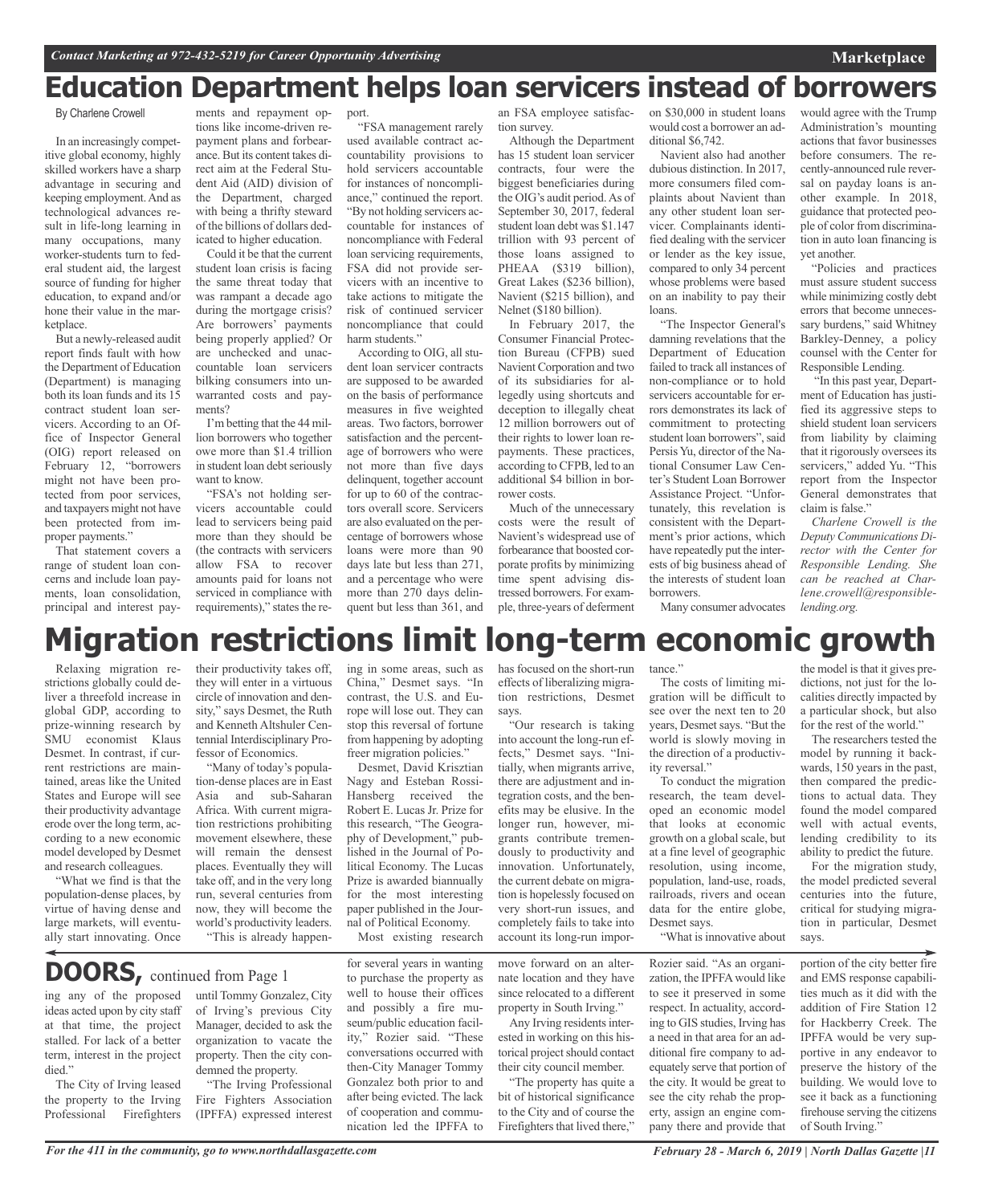# **Education Department helps loan servicers instead of borrowers**

### By Charlene Crowell

In an increasingly competitive global economy, highly skilled workers have a sharp advantage in securing and keeping employment.And as technological advances result in life-long learning in many occupations, many worker-students turn to federal student aid, the largest source of funding for higher education, to expand and/or hone their value in the marketplace.

But a newly-released audit report finds fault with how the Department of Education (Department) is managing both its loan funds and its 15 contract student loan servicers. According to an Office of Inspector General (OIG) report released on February 12, "borrowers might not have been protected from poor services, and taxpayers might not have been protected from improper payments."

That statement covers a range of student loan concerns and include loan payments, loan consolidation, principal and interest pay-

ments and repayment options like income-driven repayment plans and forbearance. But its content takes direct aim at the Federal Student Aid (AID) division of the Department, charged with being a thrifty steward of the billions of dollars dedicated to higher education.

Could it be that the current student loan crisis is facing the same threat today that was rampant a decade ago during the mortgage crisis? Are borrowers' payments being properly applied? Or are unchecked and unaccountable loan servicers bilking consumers into unwarranted costs and payments?

I'm betting that the 44 million borrowers who together owe more than \$1.4 trillion in student loan debt seriously want to know.

"FSA's not holding servicers accountable could lead to servicers being paid more than they should be (the contracts with servicers allow FSA to recover amounts paid for loans not serviced in compliance with requirements)," states the re-

port.

"FSA management rarely used available contract accountability provisions to hold servicers accountable for instances of noncompliance," continued the report. "By not holding servicers accountable for instances of noncompliance with Federal loan servicing requirements, FSA did not provide servicers with an incentive to take actions to mitigate the risk of continued servicer noncompliance that could harm students."

According to OIG, all student loan servicer contracts are supposed to be awarded on the basis of performance measures in five weighted areas. Two factors, borrower satisfaction and the percentage of borrowers who were not more than five days delinquent, together account for up to 60 of the contractors overall score. Servicers are also evaluated on the percentage of borrowers whose loans were more than 90 days late but less than 271, and a percentage who were more than 270 days delinquent but less than 361, and

an FSA employee satisfaction survey.

Although the Department has 15 student loan servicer contracts, four were the biggest beneficiaries during the OIG's audit period.As of September 30, 2017, federal student loan debt was \$1.147 trillion with 93 percent of those loans assigned to PHEAA (\$319 billion), Great Lakes (\$236 billion), Navient (\$215 billion), and Nelnet (\$180 billion). In February 2017, the

Consumer Financial Protection Bureau (CFPB) sued Navient Corporation and two of its subsidiaries for allegedly using shortcuts and deception to illegally cheat 12 million borrowers out of their rights to lower loan repayments. These practices, according to CFPB, led to an additional \$4 billion in borrower costs.

Much of the unnecessary costs were the result of Navient's widespread use of forbearance that boosted corporate profits by minimizing time spent advising distressed borrowers. For example, three-years of deferment

on \$30,000 in student loans would cost a borrower an additional \$6,742.

Navient also had another dubious distinction. In 2017, more consumers filed complaints about Navient than any other student loan servicer. Complainants identified dealing with the servicer or lender as the key issue, compared to only 34 percent whose problems were based on an inability to pay their loans.

"The Inspector General's damning revelations that the Department of Education failed to track all instances of non-compliance or to hold servicers accountable for errors demonstrates its lack of commitment to protecting student loan borrowers", said Persis Yu, director of the National Consumer Law Center's Student Loan Borrower Assistance Project. "Unfortunately, this revelation is consistent with the Department's prior actions, which have repeatedly put the interests of big business ahead of the interests of student loan borrowers.

would agree with the Trump Administration's mounting actions that favor businesses before consumers. The recently-announced rule reversal on payday loans is another example. In 2018, guidance that protected people of color from discrimination in auto loan financing is yet another.

**Marketplace**

"Policies and practices must assure student success while minimizing costly debt errors that become unnecessary burdens," said Whitney Barkley-Denney, a policy counsel with the Center for Responsible Lending.

"In this past year, Department of Education has justified its aggressive steps to shield student loan servicers from liability by claiming that it rigorously oversees its servicers," added Yu. "This report from the Inspector General demonstrates that claim is false."

*Charlene Crowell is the Deputy Communications Director with the Center for Responsible Lending. She can be reached at Charlene.crowell@responsiblelending.org.*

Many consumer advocates

# **Migration restrictions limit long-term economic growth**

Relaxing migration restrictions globally could deliver a threefold increase in global GDP, according to prize-winning research by SMU economist Klaus Desmet. In contrast, if current restrictions are maintained, areas like the United States and Europe will see their productivity advantage erode over the long term, according to a new economic model developed by Desmet and research colleagues.

"What we find is that the population-dense places, by virtue of having dense and large markets, will eventually start innovating. Once their productivity takes off, they will enter in a virtuous circle of innovation and density," says Desmet, the Ruth and Kenneth Altshuler Centennial Interdisciplinary Professor of Economics.

"Many of today's population-dense places are in East Asia and sub-Saharan Africa. With current migration restrictions prohibiting movement elsewhere, these will remain the densest places. Eventually they will take off, and in the very long run, several centuries from now, they will become the world's productivity leaders. "This is already happening in some areas, such as China," Desmet says. "In contrast, the U.S. and Europe will lose out. They can stop this reversal of fortune from happening by adopting freer migration policies."

Desmet, David Krisztian Nagy and Esteban Rossi-Hansberg received the Robert E. Lucas Jr. Prize for this research, "The Geography of Development," published in the Journal of Political Economy. The Lucas Prize is awarded biannually for the most interesting paper published in the Journal of Political Economy.

Most existing research

# **DOORS,** continued from Page <sup>1</sup>

ing any of the proposed ideas acted upon by city staff at that time, the project stalled. For lack of a better term, interest in the project died."

The City of Irving leased the property to the Irving Professional Firefighters until Tommy Gonzalez, City of Irving's previous City Manager, decided to ask the organization to vacate the property. Then the city condemned the property.

"The Irving Professional Fire Fighters Association (IPFFA) expressed interest for several years in wanting to purchase the property as well to house their offices and possibly a fire museum/public education facility," Rozier said. "These conversations occurred with then-City Manager Tommy Gonzalez both prior to and after being evicted. The lack of cooperation and communication led the IPFFA to

has focused on the short-run effects of liberalizing migration restrictions, Desmet says.

"Our research is taking into account the long-run effects," Desmet says. "Initially, when migrants arrive, there are adjustment and integration costs, and the benefits may be elusive. In the longer run, however, migrants contribute tremendously to productivity and innovation. Unfortunately, the current debate on migration is hopelessly focused on very short-run issues, and completely fails to take into account its long-run impor-

move forward on an alternate location and they have since relocated to a different property in South Irving."

Any Irving residents interested in working on this historical project should contact their city council member.

"The property has quite a bit of historical significance to the City and of course the Firefighters that lived there,"

tance."

The costs of limiting migration will be difficult to see over the next ten to 20 years, Desmet says. "But the world is slowly moving in the direction of a productivity reversal."

To conduct the migration research, the team developed an economic model that looks at economic growth on a global scale, but at a fine level of geographic resolution, using income, population, land-use, roads, railroads, rivers and ocean data for the entire globe, Desmet says.

"What is innovative about

Rozier said. "As an organization, the IPFFAwould like to see it preserved in some respect. In actuality, according to GIS studies, Irving has a need in that area for an additional fire company to adequately serve that portion of the city. It would be great to see the city rehab the property, assign an engine company there and provide that

the model is that it gives predictions, not just for the localities directly impacted by a particular shock, but also for the rest of the world."

The researchers tested the model by running it backwards, 150 years in the past, then compared the predictions to actual data. They found the model compared well with actual events, lending credibility to its ability to predict the future.

For the migration study, the model predicted several centuries into the future, critical for studying migration in particular, Desmet says.

portion of the city better fire and EMS response capabilities much as it did with the addition of Fire Station 12 for Hackberry Creek. The IPFFA would be very supportive in any endeavor to preserve the history of the building. We would love to see it back as a functioning firehouse serving the citizens of South Irving."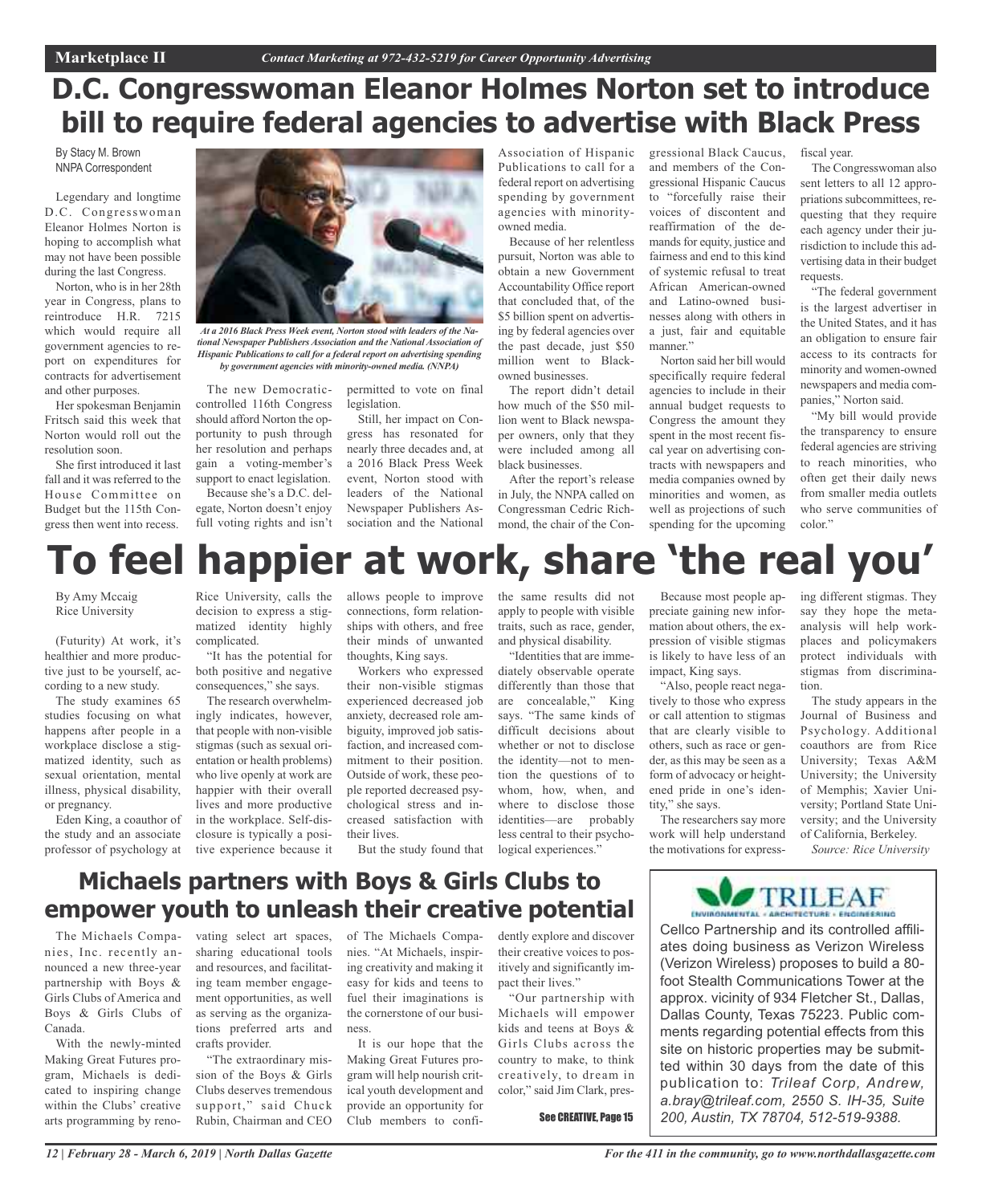# **D.C. Congresswoman Eleanor Holmes Norton set to introduce bill to require federal agencies to advertise with Black Press**

By Stacy M. Brown NNPA Correspondent

Legendary and longtime D.C. Congresswoman Eleanor Holmes Norton is hoping to accomplish what may not have been possible during the last Congress.

Norton, who is in her 28th year in Congress, plans to reintroduce H.R. 7215 which would require all government agencies to report on expenditures for contracts for advertisement and other purposes.

Her spokesman Benjamin Fritsch said this week that Norton would roll out the resolution soon.

She first introduced it last fall and it was referred to the House Committee on Budget but the 115th Congress then went into recess.



*At a 2016 Black Press Week event, Norton stood with leaders of the National Newspaper Publishers Association and the National Association of Hispanic Publications to call for a federal report on advertising spending by government agencies with minority-owned media. (NNPA)*

The new Democraticcontrolled 116th Congress should afford Norton the opportunity to push through her resolution and perhaps gain a voting-member's support to enact legislation. Because she's a D.C. del-

egate, Norton doesn't enjoy full voting rights and isn't

permitted to vote on final legislation.

Still, her impact on Congress has resonated for nearly three decades and, at a 2016 Black Press Week event, Norton stood with leaders of the National Newspaper Publishers Association and the National

Association of Hispanic Publications to call for a federal report on advertising spending by government agencies with minorityowned media.

Because of her relentless pursuit, Norton was able to obtain a new Government Accountability Office report that concluded that, of the \$5 billion spent on advertising by federal agencies over the past decade, just \$50 million went to Blackowned businesses.

The report didn't detail how much of the \$50 million went to Black newspaper owners, only that they were included among all black businesses.

After the report's release in July, the NNPA called on Congressman Cedric Richmond, the chair of the Congressional Black Caucus, and members of the Congressional Hispanic Caucus to "forcefully raise their voices of discontent and reaffirmation of the demands for equity, justice and fairness and end to this kind of systemic refusal to treat African American-owned and Latino-owned businesses along with others in a just, fair and equitable manner."

Norton said her bill would specifically require federal agencies to include in their annual budget requests to Congress the amount they spent in the most recent fiscal year on advertising contracts with newspapers and media companies owned by minorities and women, as well as projections of such spending for the upcoming fiscal year.

The Congresswoman also sent letters to all 12 appropriations subcommittees, requesting that they require each agency under their jurisdiction to include this advertising data in their budget requests.

"The federal government is the largest advertiser in the United States, and it has an obligation to ensure fair access to its contracts for minority and women-owned newspapers and media companies," Norton said.

"My bill would provide the transparency to ensure federal agencies are striving to reach minorities, who often get their daily news from smaller media outlets who serve communities of color."

# **To feel happier at work, share 'the real you'**

By Amy Mccaig Rice University

(Futurity) At work, it's healthier and more productive just to be yourself, according to a new study.

The study examines 65 studies focusing on what happens after people in a workplace disclose a stigmatized identity, such as sexual orientation, mental illness, physical disability, or pregnancy.

Eden King, a coauthor of the study and an associate professor of psychology at

Rice University, calls the decision to express a stigmatized identity highly complicated.

"It has the potential for both positive and negative consequences," she says.

The research overwhelmingly indicates, however, that people with non-visible stigmas (such as sexual orientation or health problems) who live openly at work are happier with their overall lives and more productive in the workplace. Self-disclosure is typically a positive experience because it

allows people to improve connections, form relationships with others, and free their minds of unwanted thoughts, King says.

Workers who expressed their non-visible stigmas experienced decreased job anxiety, decreased role ambiguity, improved job satisfaction, and increased commitment to their position. Outside of work, these people reported decreased psychological stress and increased satisfaction with their lives.

But the study found that

the same results did not apply to people with visible traits, such as race, gender, and physical disability.

"Identities that are immediately observable operate differently than those that are concealable," King says. "The same kinds of difficult decisions about whether or not to disclose the identity—not to mention the questions of to whom, how, when, and where to disclose those identities—are probably less central to their psychological experiences."

Because most people appreciate gaining new information about others, the expression of visible stigmas is likely to have less of an impact, King says.

"Also, people react negatively to those who express or call attention to stigmas that are clearly visible to others, such as race or gender, as this may be seen as a form of advocacy or heightened pride in one's identity," she says.

The researchers say more work will help understand the motivations for express-

ing different stigmas. They say they hope the metaanalysis will help workplaces and policymakers protect individuals with stigmas from discrimination.

The study appears in the Journal of Business and Psychology. Additional coauthors are from Rice University; Texas A&M University; the University of Memphis; Xavier University; Portland State University; and the University of California, Berkeley.

*Source: Rice University*

# **Michaels partners with Boys & Girls Clubs to empower youth to unleash their creative potential**

The Michaels Companies, Inc. recently announced a new three-year partnership with Boys & Girls Clubs of America and Boys & Girls Clubs of Canada.

With the newly-minted Making Great Futures program, Michaels is dedicated to inspiring change within the Clubs' creative arts programming by renovating select art spaces, sharing educational tools and resources, and facilitating team member engagement opportunities, as well as serving as the organizations preferred arts and crafts provider.

"The extraordinary mission of the Boys & Girls Clubs deserves tremendous support," said Chuck Rubin, Chairman and CEO

of The Michaels Companies. "At Michaels, inspiring creativity and making it easy for kids and teens to fuel their imaginations is the cornerstone of our business.

It is our hope that the Making Great Futures program will help nourish critical youth development and provide an opportunity for Club members to confidently explore and discover their creative voices to positively and significantly impact their lives."

"Our partnership with Michaels will empower kids and teens at Boys & Girls Clubs across the country to make, to think creatively, to dream in color," said Jim Clark, pres-

See CREATIVE, Page 15



Cellco Partnership and its controlled affiliates doing business as Verizon Wireless (Verizon Wireless) proposes to build a 80 foot Stealth Communications Tower at the approx. vicinity of 934 Fletcher St., Dallas, Dallas County, Texas 75223. Public comments regarding potential effects from this site on historic properties may be submitted within 30 days from the date of this publication to: *Trileaf Corp, Andrew, a.bray@trileaf.com, 2550 S. IH-35, Suite 200, Austin, TX 78704, 512-519-9388.*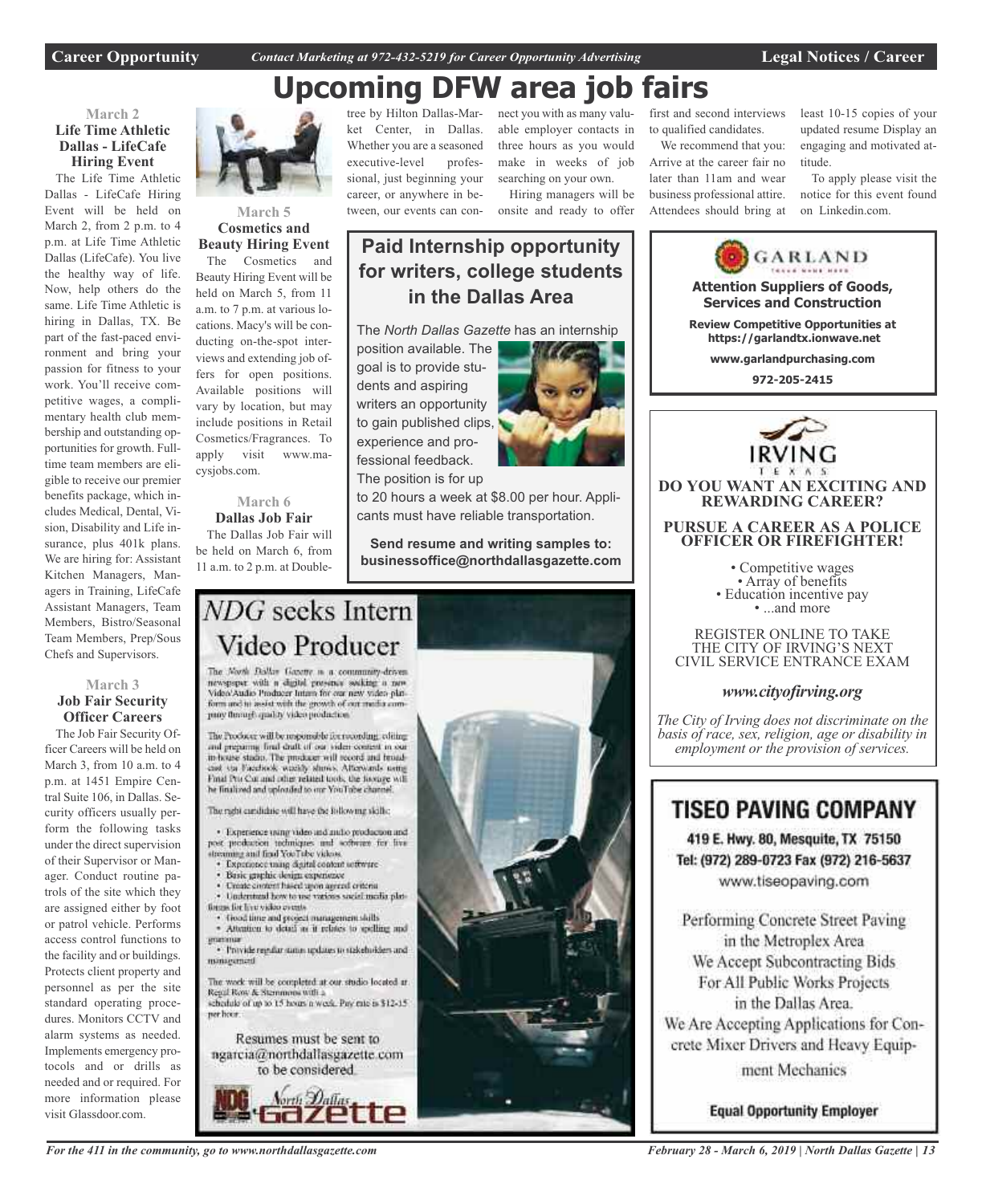**Career Opportunity** *Contact Marketing at 972-432-5219 for Career Opportunity Advertising* **Legal Notices / Career**

# **Upcoming DFW area job fairs**

# **March 2 Life Time Athletic Dallas - LifeCafe Hiring Event**

The Life Time Athletic Dallas - LifeCafe Hiring Event will be held on March 2, from 2 p.m. to 4 p.m. at Life Time Athletic Dallas (LifeCafe). You live the healthy way of life. Now, help others do the same. Life Time Athletic is hiring in Dallas, TX. Be part of the fast-paced environment and bring your passion for fitness to your work. You'll receive competitive wages, a complimentary health club membership and outstanding opportunities for growth. Fulltime team members are eligible to receive our premier benefits package, which includes Medical, Dental, Vision, Disability and Life insurance, plus 401k plans. We are hiring for: Assistant Kitchen Managers, Managers in Training, LifeCafe Assistant Managers, Team Members, Bistro/Seasonal Team Members, Prep/Sous Chefs and Supervisors.

# **March 3 Job Fair Security Officer Careers**

The Job Fair Security Officer Careers will be held on March 3, from 10 a.m. to 4 p.m. at 1451 Empire Central Suite 106, in Dallas. Security officers usually perform the following tasks under the direct supervision of their Supervisor or Manager. Conduct routine patrols of the site which they are assigned either by foot or patrol vehicle. Performs access control functions to the facility and or buildings. Protects client property and personnel as per the site standard operating procedures. Monitors CCTV and alarm systems as needed. Implements emergency protocols and or drills as needed and or required. For more information please visit Glassdoor.com.



### **March 5 Cosmetics and Beauty Hiring Event**

The Cosmetics and Beauty Hiring Event will be held on March 5, from 11 a.m. to 7 p.m. at various locations. Macy's will be conducting on-the-spot interviews and extending job offers for open positions. Available positions will vary by location, but may include positions in Retail Cosmetics/Fragrances. To apply visit www.macysjobs.com.

### **March 6 Dallas Job Fair**

The Dallas Job Fair will be held on March 6, from 11 a.m. to 2 p.m. at Doubletree by Hilton Dallas-Market Center, in Dallas. Whether you are a seasoned executive-level professional, just beginning your career, or anywhere in between, our events can con-

nect you with as many valuable employer contacts in three hours as you would make in weeks of job searching on your own. Hiring managers will be

onsite and ready to offer

# **Paid Internship opportunity for writers, college students in the Dallas Area**

The *North Dallas Gazette* has an internship

position available. The goal is to provide students and aspiring writers an opportunity to gain published clips, experience and professional feedback. The position is for up



to 20 hours a week at \$8.00 per hour. Applicants must have reliable transportation.

**Send resume and writing samples to: businessoffice@northdallasgazette.com**

# NDG seeks Intern Video Producer

The North Dallas Gazette is a community-driven newspaper with a digital presence socking a new Video/Audio Producer Intam for our new video plat-<br>form and to assist with the growth of our media comproy through quality video production

The Producer will be responsible for rocording, editing and preparing final draft of our video content in our in-house stadio. The producer will record and broad-cast via Facebook weekly shows. Afterwards using Final Pro Cor and other related tools, the footage will he finalized and uploaded to our YouTube channel

The right cardidate will have the following skills:

· Experience using video and and/o production and post production techniques and software for five streaming and final YouTube videos.

- Experience mang digital content settware
- Basic graphic design experience
- Create circlent hased upon agreed criteria Understand how to use various social media plat-
- tions for live video cycets
- · Good time and project management skills<br>· Attention to detail as it relates to spelling and
- · Provide regular status updates to stakeholders and miniarumen

The work will be completed at our studio located at Regal Row & Stemmons with a schedule of up to 15 hours a week. Pay rate is \$12-15.

ner hoor. Resumes must be sent to

ngarcia@northdallasgazette.com to be considered.





Arrive at the career fair no later than 11am and wear business professional attire. Attendees should bring at least 10-15 copies of your updated resume Display an engaging and motivated attitude.

To apply please visit the notice for this event found on Linkedin.com.



Tel: (972) 289-0723 Fax (972) 216-5637 www.tiseopaving.com

Performing Concrete Street Paving in the Metroplex Area We Accept Subcontracting Bids For All Public Works Projects in the Dallas Area. We Are Accepting Applications for Concrete Mixer Drivers and Heavy Equipment Mechanics

**Equal Opportunity Employer** 

*For the 411 in the community, go to www.northdallasgazette.com*

*February 28 - March 6, 2019 | North Dallas Gazette | 13*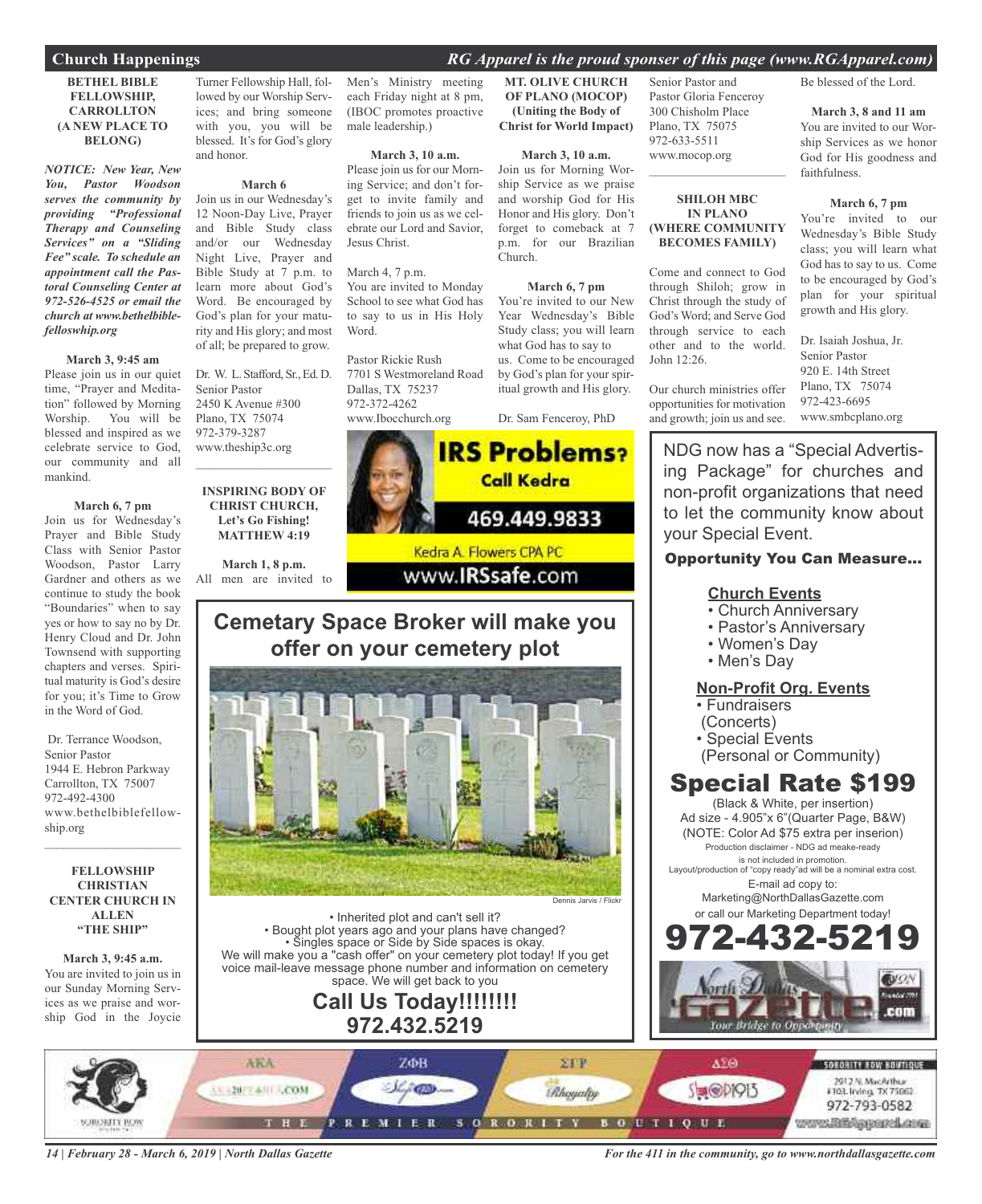# **Church Happenings** *RG Apparel is the proud sponser of this page (www.RGApparel.com)*

### **BETHEL BIBLE FELLOWSHIP, CARROLLTON (A NEW PLACE TO BELONG)**

*NOTICE: New Year, New You, Pastor Woodson serves the community by providing "Professional Therapy and Counseling Services" on a "Sliding Fee" scale. To schedule an appointment call the Pastoral Counseling Center at 972-526-4525 or email the church at www.bethelbiblefelloswhip.org*

### **March 3, 9:45 am**

Please join us in our quiet time, "Prayer and Meditation" followed by Morning Worship. You will be blessed and inspired as we celebrate service to God, our community and all mankind.

### **March 6, 7 pm**

Join us for Wednesday's Prayer and Bible Study Class with Senior Pastor Woodson, Pastor Larry Gardner and others as we continue to study the book "Boundaries" when to say yes or how to say no by Dr. Henry Cloud and Dr. John Townsend with supporting chapters and verses. Spiritual maturity is God's desire for you; it's Time to Grow in the Word of God.

Dr. Terrance Woodson, Senior Pastor 1944 E. Hebron Parkway Carrollton, TX 75007 972-492-4300 www.bethelbiblefellowship.org

### **FELLOWSHIP CHRISTIAN CENTER CHURCH IN ALLEN "THE SHIP"**

 $\mathcal{L}_\text{max}$  , which is a set of the set of the set of the set of the set of the set of the set of the set of the set of the set of the set of the set of the set of the set of the set of the set of the set of the set of

**March 3, 9:45 a.m.** You are invited to join us in our Sunday Morning Services as we praise and worship God in the Joycie

Turner Fellowship Hall, followed by our Worship Services; and bring someone with you, you will be blessed. It's for God's glory and honor.

### **March 6**

Join us in our Wednesday's 12 Noon-Day Live, Prayer and Bible Study class and/or our Wednesday Night Live, Prayer and Bible Study at 7 p.m. to learn more about God's Word. Be encouraged by God's plan for your maturity and His glory; and most of all; be prepared to grow.

Dr. W. L. Stafford, Sr., Ed. D. Senior Pastor 2450 K Avenue #300 Plano, TX 75074 972-379-3287 www.theship3c.org  $\overline{\phantom{a}}$  , and the set of the set of the set of the set of the set of the set of the set of the set of the set of the set of the set of the set of the set of the set of the set of the set of the set of the set of the s

### **INSPIRING BODY OF CHRIST CHURCH, Let's Go Fishing! MATTHEW 4:19**

**March 1, 8 p.m.** All men are invited to Men's Ministry meeting each Friday night at 8 pm, (IBOC promotes proactive male leadership.)

**March 3, 10 a.m.** Please join us for our Morning Service; and don't for-

get to invite family and friends to join us as we celebrate our Lord and Savior, Jesus Christ.

March 4, 7 p.m. You are invited to Monday School to see what God has to say to us in His Holy Word.

Pastor Rickie Rush 7701 S Westmoreland Road Dallas, TX 75237 972-372-4262 www.Ibocchurch.org

**MT. OLIVE CHURCH OF PLANO (MOCOP) (Uniting the Body of Christ for World Impact)**

# **March 3, 10 a.m.**

Join us for Morning Worship Service as we praise and worship God for His Honor and His glory. Don't forget to comeback at 7 p.m. for our Brazilian Church.

### **March 6, 7 pm**

You're invited to our New Year Wednesday's Bible Study class; you will learn what God has to say to us. Come to be encouraged by God's plan for your spiritual growth and His glory.

Dr. Sam Fenceroy, PhD



# **Cemetary Space Broker will make you offer on your cemetery plot**



• Inherited plot and can't sell it? • Bought plot years ago and your plans have changed? • Singles space or Side by Side spaces is okay. We will make you a "cash offer" on your cemetery plot today! If you get voice mail-leave message phone number and information on cemetery space. We will get back to you

# **Call Us Today!!!!!!!! 972.432.5219**

Senior Pastor and Pastor Gloria Fenceroy 300 Chisholm Place Plano, TX 75075 972-633-5511 www.mocop.org

### **SHILOH MBC IN PLANO (WHERE COMMUNITY BECOMES FAMILY)**

 $\overline{\phantom{a}}$  , and the set of the set of the set of the set of the set of the set of the set of the set of the set of the set of the set of the set of the set of the set of the set of the set of the set of the set of the s

Come and connect to God through Shiloh; grow in Christ through the study of God's Word; and Serve God through service to each other and to the world. John 12:26.

Our church ministries offer opportunities for motivation and growth; join us and see.

Be blessed of the Lord.

**March 3, 8 and 11 am** You are invited to our Worship Services as we honor God for His goodness and faithfulness.

### **March 6, 7 pm**

You're invited to our Wednesday's Bible Study class; you will learn what God has to say to us. Come to be encouraged by God's plan for your spiritual growth and His glory.

Dr. Isaiah Joshua, Jr. Senior Pastor 920 E. 14th Street Plano, TX 75074 972-423-6695 www.smbcplano.org

NDG now has a "Special Advertising Package" for churches and non-profit organizations that need to let the community know about your Special Event.

# Opportunity You Can Measure...

# **Church Events**

- Church Anniversary
- Pastor's Anniversary
- Women's Day
- Men's Day

# **Non-Profit Org. Events**

- Fundraisers
- (Concerts)
- Special Events
- (Personal or Community)

# Special Rate \$199

(Black & White, per insertion) Ad size - 4.905"x 6"(Quarter Page, B&W) (NOTE: Color Ad \$75 extra per inserion) Production disclaimer - NDG ad meake-ready is not included in promotion.

Layout/production of "copy ready"ad will be a nominal extra cost. E-mail ad copy to:

> Marketing@NorthDallasGazette.com or call our Marketing Department today!





*14 | February 28 - March 6, 2019 | North Dallas Gazette*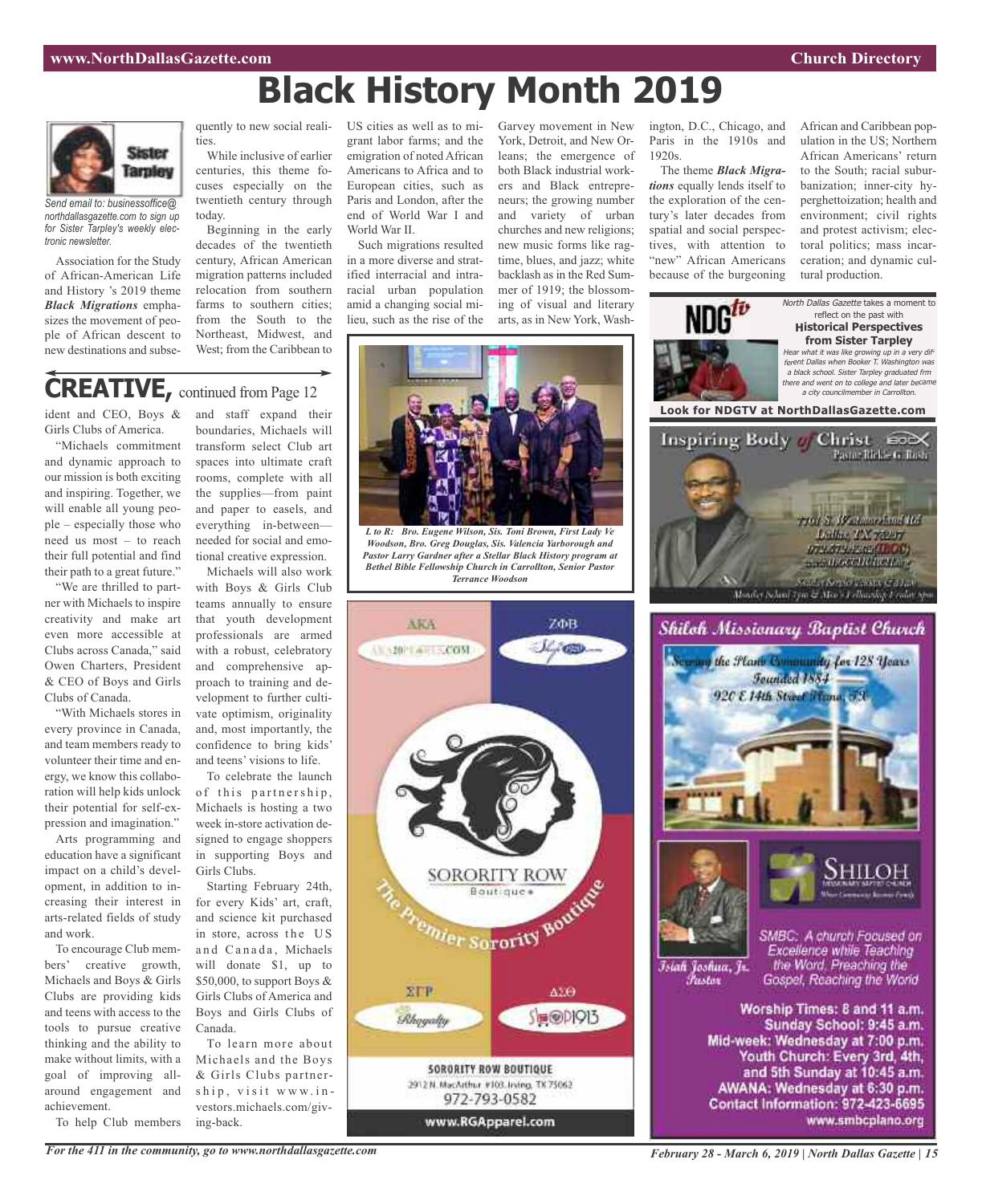# **Black History Month 2019**



*Send email to: businessoffice@ northdallasgazette.com to sign up for Sister Tarpley's weekly electronic newsletter.*

Association for the Study of African-American Life and History 's 2019 theme *Black Migrations* emphasizes the movement of people of African descent to new destinations and subse-

ties.

While inclusive of earlier centuries, this theme focuses especially on the twentieth century through today.

Beginning in the early decades of the twentieth century, African American migration patterns included relocation from southern farms to southern cities; from the South to the Northeast, Midwest, and West; from the Caribbean to

quently to new social reali-US cities as well as to migrant labor farms; and the emigration of noted African Americans to Africa and to European cities, such as Paris and London, after the end of World War I and World War II.

> Such migrations resulted in a more diverse and stratified interracial and intraracial urban population amid a changing social milieu, such as the rise of the

York, Detroit, and New Orleans; the emergence of both Black industrial workers and Black entrepreneurs; the growing number and variety of urban churches and new religions; new music forms like ragtime, blues, and jazz; white backlash as in the Red Summer of 1919; the blossoming of visual and literary arts, as in New York, Wash-

Garvey movement in New

ington, D.C., Chicago, and Paris in the 1910s and 1920s.

The theme *Black Migrations* equally lends itself to the exploration of the century's later decades from spatial and social perspectives, with attention to "new" African Americans because of the burgeoning

African and Caribbean population in the US; Northern African Americans' return to the South; racial suburbanization; inner-city hyperghettoization; health and environment; civil rights and protest activism; electoral politics; mass incarceration; and dynamic cultural production.



# **CREATIVE,** continued from Page <sup>12</sup>

ident and CEO, Boys & Girls Clubs of America.

"Michaels commitment and dynamic approach to our mission is both exciting and inspiring. Together, we will enable all young people – especially those who need us most – to reach their full potential and find their path to a great future."

"We are thrilled to partner with Michaels to inspire creativity and make art even more accessible at Clubs across Canada," said Owen Charters, President & CEO of Boys and Girls Clubs of Canada.

"With Michaels stores in every province in Canada, and team members ready to volunteer their time and energy, we know this collaboration will help kids unlock their potential for self-expression and imagination."

Arts programming and education have a significant impact on a child's development, in addition to increasing their interest in arts-related fields of study and work.

To encourage Club members' creative growth, Michaels and Boys & Girls Clubs are providing kids and teens with access to the tools to pursue creative thinking and the ability to make without limits, with a goal of improving allaround engagement and achievement.

To help Club members

and staff expand their boundaries, Michaels will transform select Club art spaces into ultimate craft rooms, complete with all the supplies—from paint and paper to easels, and everything in-between needed for social and emotional creative expression.

Michaels will also work with Boys & Girls Club teams annually to ensure that youth development professionals are armed with a robust, celebratory and comprehensive approach to training and development to further cultivate optimism, originality and, most importantly, the confidence to bring kids' and teens' visions to life.

To celebrate the launch of this partnership, Michaels is hosting a two week in-store activation designed to engage shoppers in supporting Boys and Girls Clubs.

Starting February 24th, for every Kids' art, craft, and science kit purchased in store, across the US and Canada, Michaels will donate \$1, up to \$50,000, to support Boys & Girls Clubs of America and Boys and Girls Clubs of Canada.

To learn more about Michaels and the Boys & Girls Clubs partnership, visit www.investors.michaels.com/giving-back.



*L to R: Bro. Eugene Wilson, Sis. Toni Brown, First Lady Ve Woodson, Bro. Greg Douglas, Sis. Valencia Yarborough and Pastor Larry Gardner after a Stellar Black History program at Bethel Bible Fellowship Church in Carrollton, Senior Pastor Terrance Woodson*



*February 28 - March 6, 2019 | North Dallas Gazette | 15*